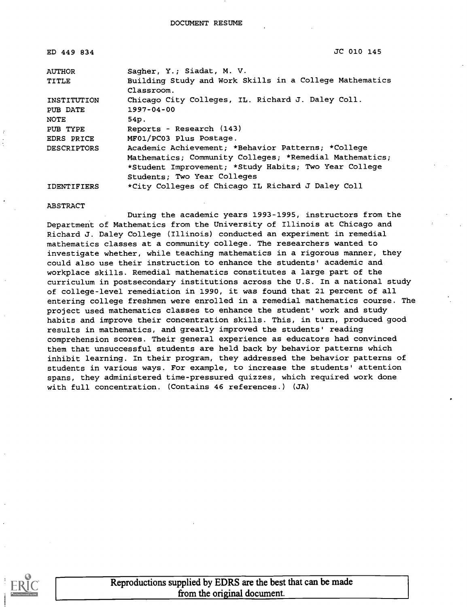| ED 449 834         | JC 010 145                                                            |
|--------------------|-----------------------------------------------------------------------|
| <b>AUTHOR</b>      | Sagher, Y.; Siadat, M. V.                                             |
| <b>TITLE</b>       | Building Study and Work Skills in a College Mathematics<br>Classroom. |
| INSTITUTION        | Chicago City Colleges, IL. Richard J. Daley Coll.                     |
| PUB DATE           | $1997 - 04 - 00$                                                      |
| <b>NOTE</b>        | 54p.                                                                  |
| PUB TYPE           | Reports - Research (143)                                              |
| EDRS PRICE         | MF01/PC03 Plus Postage.                                               |
| <b>DESCRIPTORS</b> | Academic Achievement; *Behavior Patterns; *College                    |
|                    | Mathematics; Community Colleges; *Remedial Mathematics;               |
|                    | *Student Improvement; *Study Habits; Two Year College                 |
|                    | Students; Two Year Colleges                                           |
| <b>IDENTIFIERS</b> | *City Colleges of Chicago IL Richard J Daley Coll                     |

#### ABSTRACT

During the academic years 1993-1995, instructors from the Department of Mathematics from the University of Illinois at Chicago and Richard J. Daley College (Illinois) conducted an experiment in remedial mathematics classes at a community college. The researchers wanted to investigate whether, while teaching mathematics in a rigorous manner, they could also use their instruction to enhance the students' academic and workplace skills. Remedial mathematics constitutes a large part of the curriculum in postsecondary institutions across the U.S. In a national study of college-level remediation in 1990, it was found that 21 percent of all entering college freshmen were enrolled in a remedial mathematics course. The project used mathematics classes to enhance the student' work and study habits and improve their concentration skills. This, in turn, produced good results in mathematics, and greatly improved the students' reading comprehension scores. Their general experience as educators had convinced them that unsuccessful students are held back by behavior patterns which inhibit learning. In their program, they addressed the behavior patterns of students in various ways. For example, to increase the students' attention spans, they administered time-pressured quizzes, which required work done with full concentration. (Contains 46 references.) (JA)

Reproductions supplied by EDRS are the best that can be made from the original document.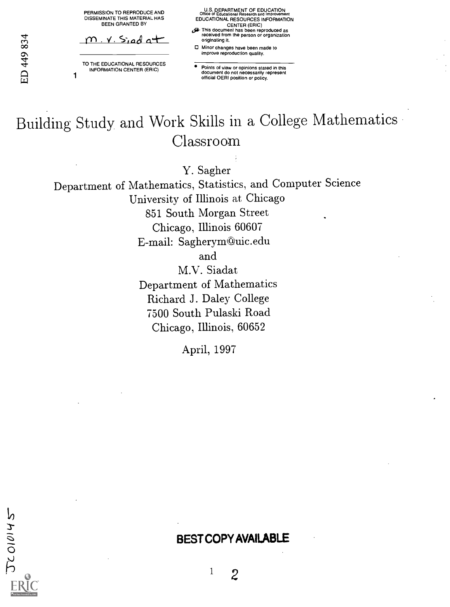PERMISSION TO REPRODUCE AND DISSEMINATE THIS MATERIAL HAS BEEN GRANTED BY

 $m \times$  Siad at

TO THE EDUCATIONAL RESOURCES INFORMATION CENTER (ERIC)

1

U.S. DEPARTMENT OF EDUCATION Office of Educational Research and Improvement EDUCATIONAL RESOURCES INFORMATION CENTER (ERIC)

- (fa- This document has been reproduced as received from the person or organization originating it.
- Minor changes have been made to improve reproduction quality.

Points of view or opinions stated in this document do not necessarily represent official OERI position or policy.

# Building Study and Work Skills in a College Mathematics Classroom

Y. Sagher

Department of Mathematics, Statistics, and Computer Science University of Illinois at Chicago 851 South Morgan Street Chicago, Illinois 60607 E-mail: Sagherym@uic.edu and M.V. Siadat

Department of Mathematics Richard J. Daley College 7500 South Pulaski Road Chicago, Illinois, 60652

April, 1997

 $JCO10145$ 

# BEST COPY AVAILABLE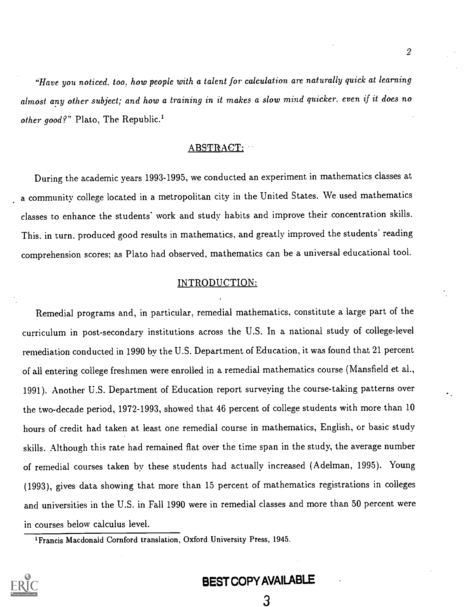"Have you noticed, too, how people with a talent for calculation are naturally quick at learning almost any other subject; and how a training in it makes a slow mind quicker, even if it does no other good?" Plato, The Republic.<sup>1</sup>

# ABSTRACT:

During the academic years 1993-1995, we conducted an experiment in mathematics classes at a community college located in a metropolitan city in the United States. We used mathematics classes to enhance the students' work and study habits and improve their concentration skills. This. in turn, produced good results in mathematics. and greatly improved the students' reading comprehension scores; as Plato had observed, mathematics can be a universal educational tool.

# INTRODUCTION:

Remedial programs and, in particular, remedial mathematics, constitute a large part of the curriculum in post-secondary institutions across the U.S. In a national study of college-level remediation conducted in 1990 by the U.S. Department of Education, it was found that 21 percent of all entering college freshmen were enrolled in a remedial mathematics course (Mansfield et al., 1991). Another U.S. Department of Education report surveying the course-taking patterns over the two-decade period, 1972-1993, showed that 46 percent of college students with more than 10 hours of credit had taken at least one remedial course in mathematics, English, or basic study skills. Although this rate had remained flat over the time span in the study, the average number of remedial courses taken by these students had actually increased (Adelman, 1995). Young (1993), gives data showing that more than 15 percent of mathematics registrations in colleges and universities in the U.S. in Fall 1990 were in remedial classes and more than 50 percent were in courses below calculus level.

<sup>&#</sup>x27;Francis Macdonald Cornford translation, Oxford University Press, 1945.



# BEST COPY AVAILABLE

3

 $2\overline{a}$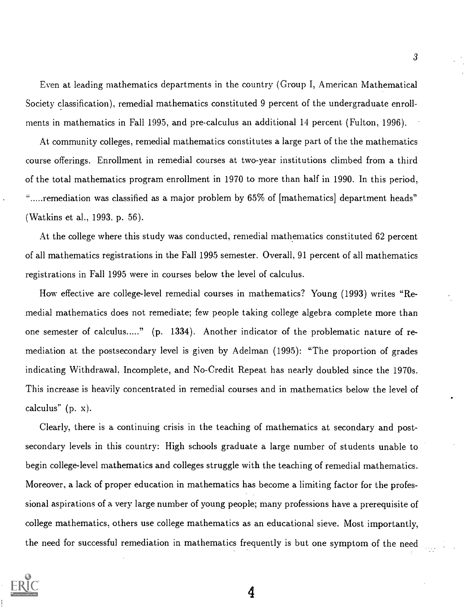Even at leading mathematics departments in the country (Group I, American Mathematical Society classification), remedial mathematics constituted 9 percent of the undergraduate enrollments in mathematics in Fall 1995, and pre-calculus an additional 14 percent (Fulton, 1996).

At community colleges, remedial mathematics constitutes a large part of the the mathematics course offerings. Enrollment in remedial courses at two-year institutions climbed from a third of the total mathematics program enrollment in 1970 to more than half in 1990. In this period, ".....remediation was classified as a major problem by 65% of [mathematics] department heads" (Watkins et al., 1993. p. 56).

At the college where this study was conducted, remedial mathematics constituted 62 percent of all mathematics registrations in the Fall 1995 semester. Overall, 91 percent of all mathematics registrations in Fall 1995 were in courses below the level of calculus.

How effective are college-level remedial courses in mathematics? Young (1993) writes "Remedial mathematics does not remediate; few people taking college algebra complete more than one semester of calculus....." (p. 1334). Another indicator of the problematic nature of remediation at the postsecondary level is given by Adelman (1995): "The proportion of grades indicating Withdrawal. Incomplete, and No-Credit Repeat has nearly doubled since the 1970s. This increase is heavily concentrated in remedial courses and in mathematics below the level of calculus" (p. x).

Clearly, there is a continuing crisis in the teaching of mathematics at secondary and postsecondary levels in this country: High schools graduate a large number of students unable to begin college-level mathematics and colleges struggle with the teaching of remedial mathematics. Moreover, a lack of proper education in mathematics has become a limiting factor for the professional aspirations of a very large number of young people; many professions have a prerequisite of college mathematics, others use college mathematics as an educational sieve. Most importantly, the need for successful remediation in mathematics frequently is but one symptom of the need

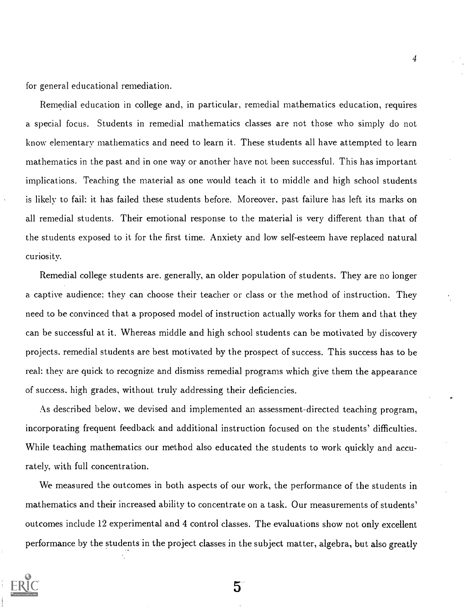for general educational remediation.

Remedial education in college and, in particular, remedial mathematics education, requires a. special focus. Students in remedial mathematics classes are not those who simply do not know elementary mathematics and need to learn it. These students all have attempted to learn mathematics in the past and in one way or another have not been successful. This has important implications. Teaching the material as one would teach it to middle and high school students is likely to fail: it has failed these students before. Moreover, past failure has left its marks on all remedial students. Their emotional response to the material is very different than that of the students exposed to it for the first time. Anxiety and low self-esteem have replaced natural curiosity.

4

Remedial college students are. generally, an older population of students. They are no longer a captive audience: they can choose their teacher or class or the method of instruction. They need to be convinced that a proposed model of instruction actually works for them and that they can be successful at it. Whereas middle and high school students can be motivated by discovery projects. remedial students are best motivated by the prospect of success. This success has to be real: they are quick to recognize and dismiss remedial programs which give them the appearance of success. high grades, without truly addressing their deficiencies.

As described below, we devised and implemented an assessment-directed teaching program, incorporating frequent feedback and additional instruction focused on the students' difficulties. While teaching mathematics our method also educated the students to work quickly and accurately, with full concentration.

We measured the outcomes in both aspects of our work, the performance of the students in mathematics and their increased ability to concentrate on a task. Our measurements of students' outcomes include 12 experimental and 4 control classes. The evaluations show not only excellent performance by the students in the project classes in the subject matter, algebra, but also greatly

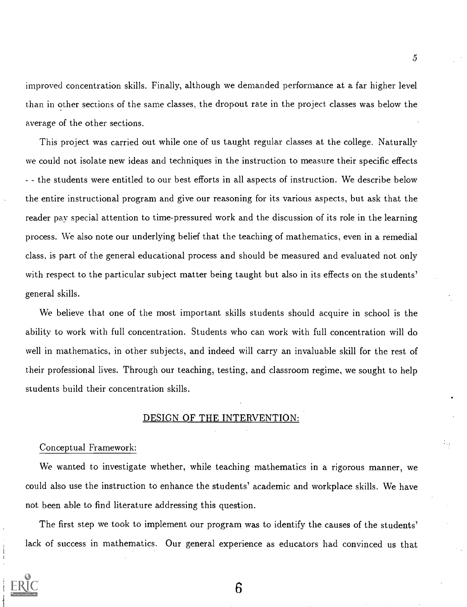improved concentration skills. Finally, although we demanded performance at a far higher level than in other sections of the same classes, the dropout rate in the project classes was below the average of the other sections.

This project was carried out while one of us taught regular classes at the college. Naturally we could not isolate new ideas and techniques in the instruction to measure their specific effects - the students were entitled to our best efforts in all aspects of instruction. We describe below the entire instructional program and give our reasoning for its various aspects, but ask that the reader pay special attention to time-pressured work and the discussion of its role in the learning process. We also note our underlying belief that the teaching of mathematics, even in a remedial class, is part of the general educational process and should be measured and evaluated not only with respect to the particular subject matter being taught but also in its effects on the students' general skills.

We believe that one of the most important skills students should acquire in school is the ability to work with full concentration. Students who can work with full concentration will do well in mathematics, in other subjects, and indeed will carry an invaluable skill for the rest of their professional lives. Through our teaching, testing, and classroom regime, we sought to help students build their concentration skills.

## DESIGN OF THE INTERVENTION:

#### Conceptual Framework:

We wanted to investigate whether, while teaching mathematics in a rigorous manner, we could also use the instruction to enhance the students' academic and workplace skills. We have not been able to find literature addressing this question.

The first step we took to implement our program was to identify the causes of the students' lack of success in mathematics. Our general experience as educators had convinced us that

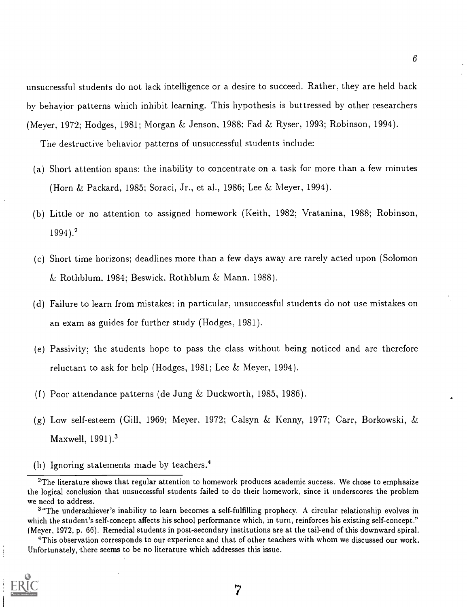unsuccessful students do not lack intelligence or a desire to succeed. Rather, they are held back by behavior patterns which inhibit learning. This hypothesis is buttressed by other researchers (Meyer, 1972; Hodges, 1981; Morgan & Jenson, 1988; Fad & Ryser, 1993; Robinson, 1994).

The destructive behavior patterns of unsuccessful students include:

- (a) Short attention spans; the inability to concentrate on a task for more than a few minutes (Horn & Packard, 1985; Soraci, Jr., et al., 1986; Lee & Meyer, 1994).
- (b) Little or no attention to assigned homework (Keith, 1982; Vratanina, 1988; Robinson, 1994).2
- (c) Short time horizons; deadlines more than a few days away are rarely acted upon (Solomon  $\&$  Rothblum. 1984; Beswick, Rothblum  $\&$  Mann, 1988).
- (d) Failure to learn from mistakes: in particular, unsuccessful students do not use mistakes on an exam as guides for further study (Hodges. 1981).
- (e) Passivity; the students hope to pass the class without being noticed and are therefore reluctant to ask for help (Hodges, 1981; Lee  $\&$  Meyer, 1994).
- (f) Poor attendance patterns (de Jung & Duckworth, 1985, 1986).
- (g) Low self-esteem (Gill, 1969; Meyer, 1972; Calsyn & Kenny, 1977; Carr, Borkowski, & Maxwell, 1991).<sup>3</sup>
- (h) Ignoring statements made by teachers.4

<sup>&#</sup>x27;This observation corresponds to our experience and that of other teachers with whom we discussed our work. Unfortunately, there seems to be no literature which addresses this issue.



 $6\qquad \qquad$ 

 $2$ The literature shows that regular attention to homework produces academic success. We chose to emphasize the logical conclusion that unsuccessful students failed to do their homework, since it underscores the problem we need to address.

<sup>&</sup>lt;sup>3</sup>"The underachiever's inability to learn becomes a self-fulfilling prophecy. A circular relationship evolves in which the student's self-concept affects his school performance which, in turn, reinforces his existing self-concept." (Meyer, 1972, p. 66). Remedial students in post-secondary institutions are at the tail-end of this downward spiral.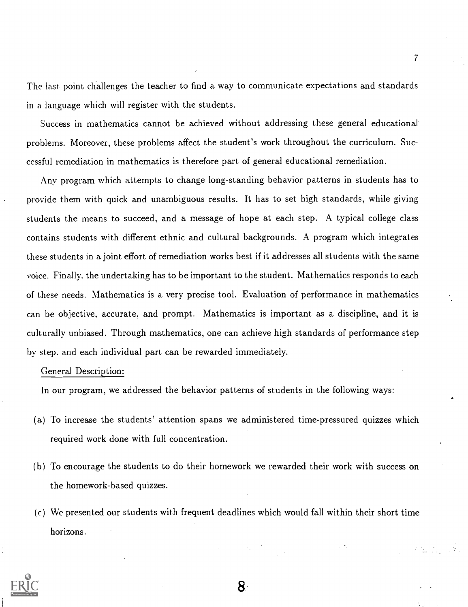The last point challenges the teacher to find a way to communicate expectations and standards in a language which will register with the students.

Success in mathematics cannot be achieved without addressing these general educational problems. Moreover, these problems affect the student's work throughout the curriculum. Successful remediation in mathematics is therefore part of general educational remediation.

Any program which attempts to change long-standing behavior patterns in students has to provide them with quick and unambiguous results. It has to set high standards, while giving students the means to succeed, and a message of hope at each step. A typical college class contains students with different ethnic and cultural backgrounds. A program which integrates these students in a joint effort of remediation works best if it addresses all students with the same voice. Finally, the undertaking has to be important to the student. Mathematics responds to each of these needs. Mathematics is a very precise tool. Evaluation of performance in mathematics can be objective. accurate, and prompt. Mathematics is important as a discipline, and it is culturally unbiased. Through mathematics, one can achieve high standards of performance step by step. and each individual part can be rewarded immediately.

## General Description:

In our program, we addressed the behavior patterns of students in the following ways:

- (a) To increase the students' attention spans we administered time-pressured quizzes which required work done with full concentration.
- (b) To encourage the students to do their homework we rewarded their work with success on the homework-based quizzes.
- (c) We presented our students with frequent deadlines which would fall within their short time horizons.



7

8.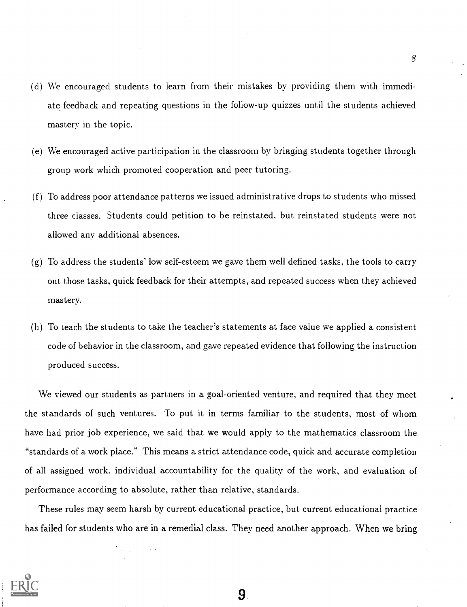- (d) We encouraged students to learn from their mistakes by providing them with immediate feedback and repeating questions in the follow-up quizzes until the students achieved mastery in the topic.
- (e) We encouraged active participation in the classroom by bringing students:together through group work which promoted cooperation and peer tutoring.
- (f) To address poor attendance patterns we issued administrative drops to students who missed three classes. Students could petition to be reinstated, but reinstated students were not allowed any additional absences.
- $(g)$  To address the students' low self-esteem we gave them well defined tasks, the tools to carry out those tasks. quick feedback for their attempts, and repeated success when they achieved mastery.
- (h) To teach the students to take the teacher's statements at face value we applied a consistent code of behavior in the classroom, and gave repeated evidence that following the instruction produced success.

We viewed our students as partners in a goal-oriented venture, and required that they meet the standards of such ventures. To put it in terms familiar to the students, most of whom have had prior job experience, we said that we would apply to the mathematics classroom the "standards of a work place." This means a strict attendance code, quick and accurate completion of all assigned work. individual accountability for the quality of the work, and evaluation of performance according to absolute, rather than relative, standards.

These rules may seem harsh by current educational practice, but current educational practice has failed for students who are in a remedial class. They need another approach. When we bring



8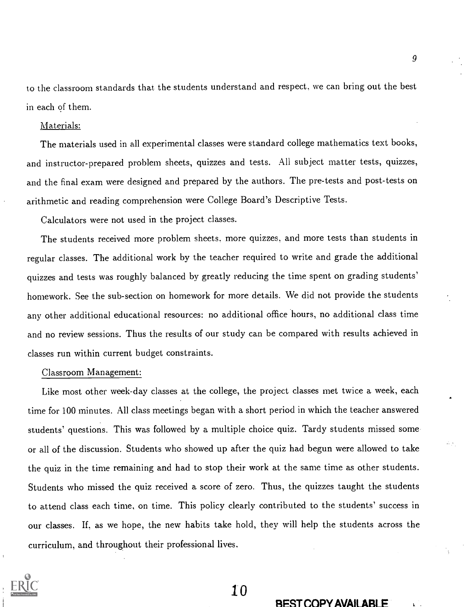to the classroom standards that the students understand and respect. we can bring out the best in each of them.

### Materials:

The materials used in all experimental classes were standard college mathematics text books, and instructor-prepared problem sheets, quizzes and tests. All subject matter tests, quizzes, and the final exam were designed and prepared by the authors. The pre-tests and post-tests on arithmetic and reading comprehension were College Board's Descriptive Tests.

Calculators were not used in the project classes.

The students received more problem sheets. more quizzes, and more tests than students in regular classes. The additional work by the teacher required to write and grade the additional quizzes and tests was roughly balanced by greatly reducing the time spent on grading students' homework. See the sub-section on homework for more details. We did not provide the students any other additional educational resources: no additional office hours, no additional class time and no review sessions. Thus the results of our study can be compared with results achieved in classes run within current budget constraints.

#### Classroom Management:

Like most other week-day classes at the college, the project classes met twice a week, each time for 100 minutes. All class meetings began with a short period in which the teacher answered students' questions. This was followed by a multiple choice quiz. Tardy students missed some or all of the discussion. Students who showed up after the quiz had begun were allowed to take the quiz in the time remaining and had to stop their work at the same time as other students. Students who missed the quiz received a score of zero. Thus, the quizzes taught the students to attend class each time, on time. This policy clearly contributed to the students' success in our classes. If, as we hope, the new habits take hold, they will help the students across the curriculum, and throughout their professional lives.



10

#### REST COPY AVAILABLE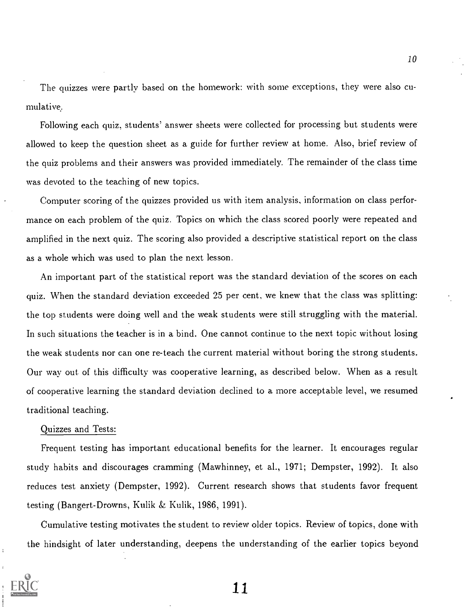The quizzes were partly based on the homework: with some exceptions, they were also cumulative.

Following each quiz, students' answer sheets were collected for processing but students were allowed to keep the question sheet as a guide for further review at home. Also, brief review of the quiz problems and their answers was provided immediately. The remainder of the class time was devoted to the teaching of new topics.

Computer scoring of the quizzes provided us with item analysis, information on class performance on each problem of the quiz. Topics on which the class scored poorly were repeated and amplified in the next quiz. The scoring also provided a descriptive statistical report on the class as a whole which was used to plan the next lesson.

An important part of the statistical report was the standard deviation of the scores on each quiz. When the standard deviation exceeded 25 per cent, we knew that the class was splitting: the top students were doing well and the weak students were still struggling with the material. In such situations the teacher is in a bind. One cannot continue to the next topic without losing the weak students nor can one re-teach the current material without boring the strong students. Our way out of this difficulty was cooperative learning, as described below. When as a result of cooperative learning the standard deviation declined to a more acceptable level, we resumed traditional teaching.

# Quizzes and Tests:

Frequent testing has important educational benefits for the learner. It encourages regular study habits and discourages cramming (Mawhinney, et al., 1971; Dempster, 1992). It also reduces test anxiety (Dempster, 1992). Current research shows that students favor frequent testing (Bangert-Drowns, Kulik & Kulik, 1986, 1991).

Cumulative testing motivates the student to review older topics. Review of topics, done with the hindsight of later understanding, deepens the understanding of the earlier topics beyond



ii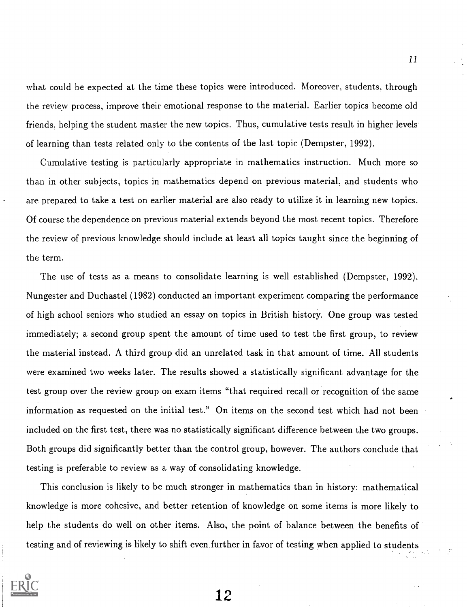what could he expected at the time these topics were introduced. Moreover, students, through the review process, improve their emotional response to the material. Earlier topics become old friends, helping the student master the new topics. Thus, cumulative tests result in higher levels of learning than tests related only to the contents of the last topic (Dempster, 1992).

Cumulative testing is particularly appropriate in mathematics instruction. Much more so than in other subjects, topics in mathematics depend on previous material, and students who are prepared to take a test on earlier material are also ready to utilize it in learning new topics. Of course the dependence on previous material extends beyond the most recent topics. Therefore the review of previous knowledge should include at least all topics taught since the beginning of the term.

The use of tests as a means to consolidate learning is well established (Dempster, 1992). Nungester and Duchastel (1982) conducted an important experiment comparing the performance of high school seniors who studied an essay on topics in British history. One group was tested immediately; a second group spent the amount of time used to test the first group, to review the material instead. A third group did an unrelated task in that amount of time. All students were examined two weeks later. The results showed a statistically significant advantage for the test group over the review group on exam items "that required recall or recognition of the same information as requested on the initial test." On items on the second test which had not been included on the first test, there was no statistically significant difference between the two groups. Both groups did significantly better than the control group, however. The authors conclude that testing is preferable to review as a way of consolidating knowledge.

This conclusion is likely to he much stronger in mathematics than in history: mathematical knowledge is more cohesive, and better retention of knowledge on some items is more likely to help the students do well on other items. Also, the point of balance between the benefits of testing and of reviewing is likely to shift even further in favor of testing when applied to students

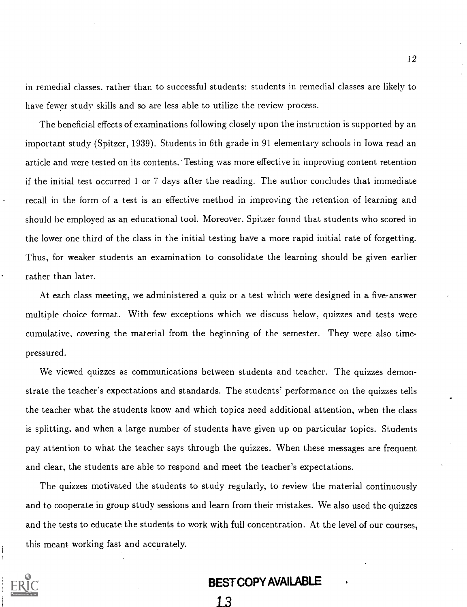in remedial classes. rather than to successful students: students in remedial classes are likely to have fewer study skills and so are less able to utilize the review process.

The beneficial effects of examinations following closely upon the instruction is supported by an important study (Spitzer, 1939). Students in 6th grade in 91 elementary schools in Iowa read an article and were tested on its contents. Testing was more effective in improving content retention if the initial test occurred 1 or 7 days after the reading. The author concludes that immediate recall in the form of a test is an effective method in improving the retention of learning and should be employed as an educational tool. Moreover. Spitzer found that students who scored in the lower one third of the class in the initial testing have a more rapid initial rate of forgetting. Thus, for weaker students an examination to consolidate the learning should be given earlier rather than later.

At each class meeting, we administered a quiz or a test which were designed in a five-answer multiple choice format. With few exceptions which we discuss below, quizzes and tests were cumulative, covering the material from the beginning of the semester. They were also timepressured.

We viewed quizzes as communications between students and teacher. The quizzes demonstrate the teacher's expectations and standards. The students' performance on the quizzes tells the teacher what the students know and which topics need additional attention, when the class is splitting, and when a large number of students have given up on particular topics. Students pay attention to what the teacher says through the quizzes. When these messages are frequent and clear, the students are able to respond and meet the teacher's expectations.

The quizzes motivated the students to study regularly, to review the material continuously and to cooperate in group study sessions and learn from their mistakes. We also used the quizzes and the tests to educate the students to work with full concentration. At the level of our courses, this meant working fast and accurately.



# BEST COPY AVAILABLE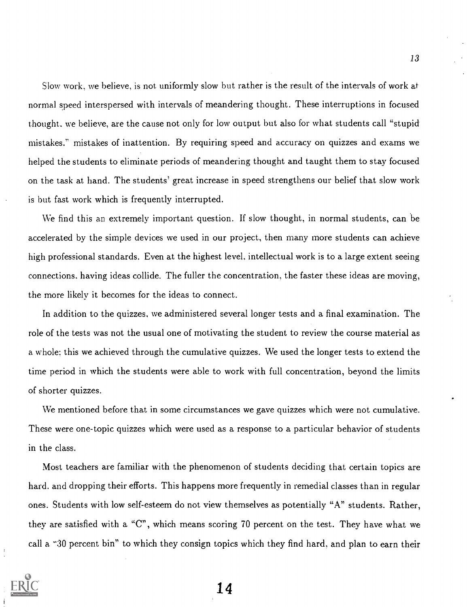Slow work, we believe, is not uniformly slow but rather is the result of the intervals of work at normal speed interspersed with intervals of meandering thought. These interruptions in focused thought. we believe, are the cause not only for low output but also for what students call "stupid mistakes." mistakes of inattention. By requiring speed and accuracy on quizzes and exams we helped the students to eliminate periods of meandering thought and taught them to stay focused on the task at hand. The students' great increase in speed strengthens our belief that slow work is but fast work which is frequently interrupted.

We find this an extremely important question. If slow thought, in normal students, can be accelerated by the simple devices we used in our project, then many more students can achieve high professional standards. Even at the highest level, intellectual work is to a large extent seeing connections. having ideas collide. The fuller the concentration, the faster these ideas are moving, the more likely it becomes for the ideas to connect.

In addition to the quizzes, we administered several longer tests and a final examination. The role of the tests was not the usual one of motivating the student to review the course material as a whole: this we achieved through the cumulative quizzes. We used the longer tests to extend the time period in which the students were able to work with full concentration, beyond the limits of shorter quizzes.

We mentioned before that in some circumstances we gave quizzes which were not cumulative. These were one-topic quizzes which were used as a response to a particular behavior of students in the class.

Most teachers are familiar with the phenomenon of students deciding that certain topics are hard. and dropping their efforts. This happens more frequently in remedial classes than in regular ones. Students with low self-esteem do not view themselves as potentially "A" students. Rather, they are satisfied with a "C", which means scoring 70 percent on the test. They have what we call a "30 percent bin" to which they consign topics which they find hard, and plan to earn their

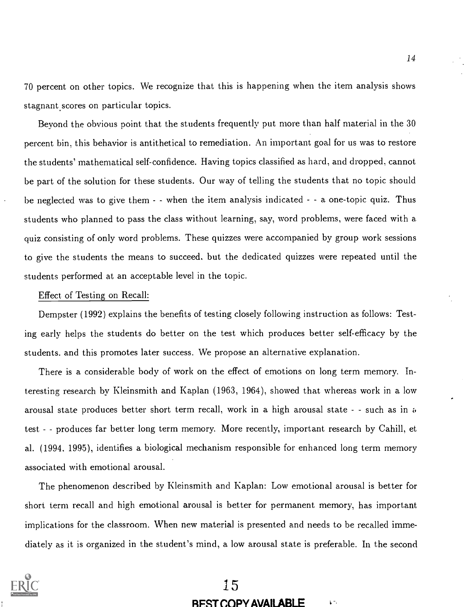70 percent on other topics. We recognize that this is happening when the item analysis shows stagnant scores on particular topics.

Beyond the obvious point that the students frequently put more than half material in the 30 percent bin, this behavior is antithetical to remediation. An important goal for us was to restore the students' mathematical self-confidence. Having topics classified as hard, and dropped, cannot be part of the solution for these students. Our way of telling the students that no topic should be neglected was to give them  $-$  when the item analysis indicated  $-$  a one-topic quiz. Thus students who planned to pass the class without learning, say, word problems, were faced with a quiz consisting of only word problems. These quizzes were accompanied by group work sessions to give the students the means to succeed, but the dedicated quizzes were repeated until the students performed at an acceptable level in the topic.

#### Effect. of Testing on Recall:

Dempster (1992) explains the benefits of testing closely following instruction as follows: Testing early helps the students do better on the test which produces better self-efficacy by the students. and this promotes later success. We propose an alternative explanation.

There is a considerable body of work on the effect of emotions on long term memory. Interesting research by Kleinsmith and Kaplan (1963, 1964), showed that whereas work in a low arousal state produces better short term recall, work in a high arousal state - - such as in a test - - produces far better long term memory. More recently, important research by Cahill, et al. (1994. 1995), identifies a biological mechanism responsible for enhanced long term memory associated with emotional arousal.

The phenomenon described by Kleinsmith and Kaplan: Low emotional arousal is better for Short term recall and high emotional arousal is better for permanent memory, has important implications for the classroom. When new material is presented and needs to be recalled immediately as it is organized in the student's mind, a low arousal state is preferable. In the second



# 15 BEST COPY AVAILABLE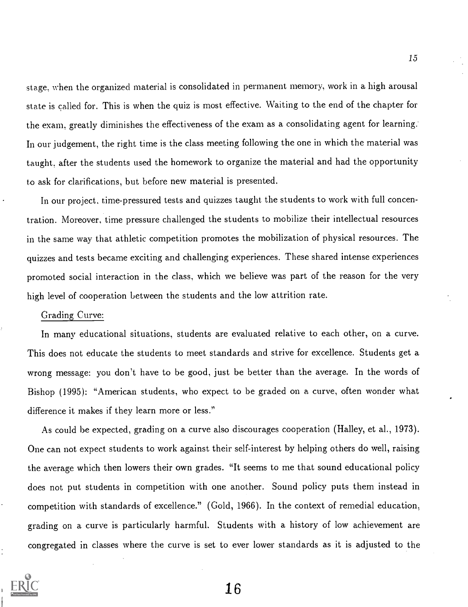stage, when the organized material is consolidated in permanent memory, work in a high arousal state is called for. This is when the quiz is most effective. Waiting to the end of the chapter for the exam, greatly diminishes the effectiveness of the exam as a consolidating agent for learning: In our judgement, the right time is the class meeting following the one in which the material was taught, after the students used the homework to organize the material and had the opportunity to ask for clarifications, but before new material is presented.

In our project, time-pressured tests and quizzes taught the students to work with full concentration. Moreover, time pressure challenged the students to mobilize their intellectual resources in the same way that athletic competition promotes the mobilization of physical resources. The quizzes and tests became exciting and challenging experiences. These shared intense experiences promoted social interaction in the class, which we believe was part of the reason for the very high level of cooperation between the students and the low attrition rate.

## Grading Curve:

In many educational situations, students are evaluated relative to each other, on a curve. This does not educate the students to meet standards and strive for excellence. Students get a wrong message: you don't have to be good, just be better than the average. In the words of Bishop (1995): "American students, who expect to be graded on a curve, often wonder what difference it makes if they learn more or less."

As could be expected, grading on a curve also discourages cooperation (Halley, et al., 1973). One can not expect students to work against their self-interest by helping others do well, raising the average which then lowers their own grades. "It seems to me that sound educational policy does not put students in competition with one another. Sound policy puts them instead in competition with standards of excellence." (Gold, 1966). In the context of remedial education, grading on a curve is particularly harmful. Students with a history of low achievement are congregated in classes where the curve is set to ever lower standards as it is adjusted to the

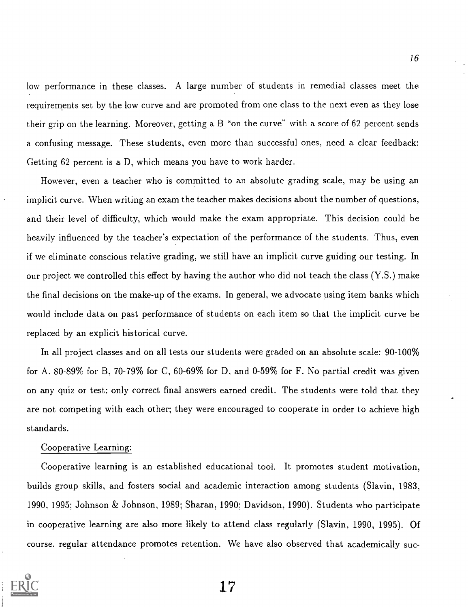low performance in these classes. A large number of students in remedial classes meet the requirements set by the low curve and are promoted from one class to the next even as they lose their grip on the learning. Moreover, getting a B "on the curve" with a. score of 62 percent sends a confusing message. These students, even more than successful ones, need a clear feedback: Getting 62 percent is a D, which means you have to work harder.

However, even a teacher who is committed to an absolute grading scale, may be using an implicit curve. When writing an exam the teacher makes decisions about the number of questions, and their level of difficulty, which would make the exam appropriate. This decision could be heavily influenced by the teacher's expectation of the performance of the students. Thus, even if we eliminate conscious relative grading, we still have an implicit curve guiding our testing. In our project we controlled this effect by having the author who did not teach the class (Y.S.) make the final decisions on the make-up of the exams. In general, we advocate using item banks which would include data on past performance of students on each item so that the implicit curve be replaced by an explicit historical curve.

In all project classes and on all tests our students were graded on an absolute scale: 90-100% for A, 80-89% for B, 70-79% for C, 60-69% for D, and 0-59% for F. No partial credit was given on any quiz or test; only correct final answers earned credit. The students were told that they are not competing with each other; they were encouraged to cooperate in order to achieve high standards.

## Cooperative Learning:

Cooperative learning is an established educational tool. It promotes student motivation, builds group skills, and fosters social and academic interaction among students (Slavin, 1983, 1990, 1995; Johnson & Johnson, 1989; Sharan, 1990; Davidson, 1990). Students who participate in cooperative learning are also more likely to attend class regularly (Slavin, 1990, 1995). Of course, regular attendance promotes retention. We have also observed that academically suc-

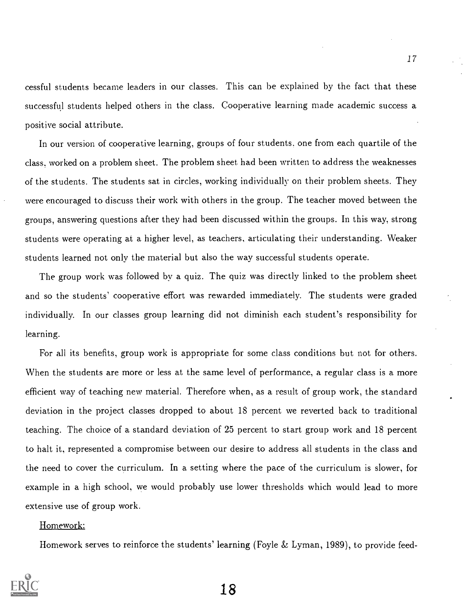cessful students became leaders in our classes. This can be explained by the fact that these successful students helped others in the class. Cooperative learning made academic success a positive social attribute.

In our version of cooperative learning, groups of four students, one from each quartile of the class, worked on a problem sheet. The problem sheet had been written to address the weaknesses of the students. The students sat in circles, working individually on their problem sheets. They were encouraged to discuss their work with others in the group. The teacher moved between the groups, answering questions after they had been discussed within the groups. In this way, strong students were operating at a higher level, as teachers, articulating their understanding. Weaker students learned not only the material but also the way successful students operate.

The group work was followed by a quiz. The quiz was directly linked to the problem sheet and so the students' cooperative effort was rewarded immediately. The students were graded individually. In our classes group learning did not diminish each student's responsibility for learning.

For all its benefits, group work is appropriate for some class conditions but not for others. When the students are more or less at the same level of performance, a regular class is a more efficient way of teaching new material. Therefore when, as a result of group work, the standard deviation in the project classes dropped to about 18 percent we reverted back to traditional teaching. The choice of a standard deviation of 25 percent to start group work and 18 percent to halt it, represented a compromise between our desire to address all students in the class and the need to cover the curriculum. In a setting where the pace of the curriculum is slower, for example in a high school, we would probably use lower thresholds which would lead to more extensive use of group work.

# Homework:

Homework serves to reinforce the students' learning (Foyle  $&$  Lyman, 1989), to provide feed-

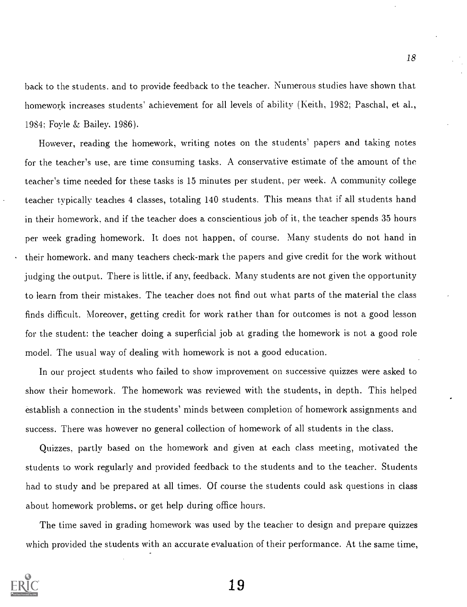back to the students. and to provide feedback to the teacher. Numerous studies have shown that homework increases students' achievement for all levels of ability (Keith, 1982; Paschal, et al., 1984; Foyle & Bailey, 1986).

However, reading the homework, writing notes on the students' papers and taking notes for the teacher's use, are time consuming tasks. A conservative estimate of the amount of the teacher's time needed for these tasks is 15 minutes per student, per week. A community college teacher typically teaches 4 classes, totaling 140 students. This means that if all students hand in their homework, and if the teacher does a conscientious job of it, the teacher spends 35 hours per week grading homework. It does not happen, of course. Many students do not hand in their homework. and many teachers check-mark the papers and give credit for the work without judging the output. There is little, if any, feedback. Many students are not given the opportunity to learn from their mistakes. The teacher does not find out what parts of the material the class finds difficult. Moreover, getting credit for work rather than for outcomes is not a good lesson for the student: the teacher doing a superficial job at grading the homework is not a good role model. The usual way of dealing with homework is not a good education.

In our project students who failed to show improvement on successive quizzes were asked to show their homework. The homework was reviewed with the students, in depth. This helped establish a connection in the students' minds between completion of homework assignments and success. There was however no general collection of homework of all students in the class.

Quizzes. partly based on the homework and given at each class meeting, motivated the students to work regularly and provided feedback to the students and to the teacher. Students had to study and be prepared at all times. Of course the students could ask questions in class about homework problems, or get help during office hours.

The time saved in grading homework was used by the teacher to design and prepare quizzes which provided the students with an accurate evaluation of their performance. At the same time,

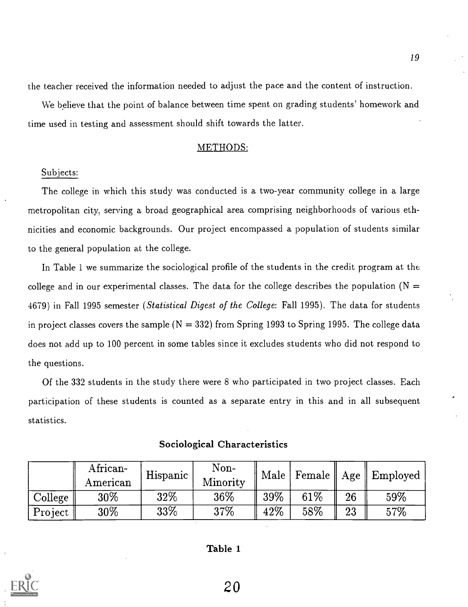the teacher received the information needed to adjust the pace and the content of instruction.

We believe that the point of balance between time spent on grading students' homework and time used in testing and assessment should shift towards the latter.

## METHODS:

# Subjects:

The college in which this study was conducted is a two-year community college in a large metropolitan city, serving a broad geographical area comprising neighborhoods of various ethnicities and economic backgrounds. Our project encompassed a population of students similar to the general population at the college.

In Table 1 we summarize the sociological profile of the students in the credit program at the college and in our experimental classes. The data for the college describes the population ( $N =$ 4679) in Fall 1995 semester *(Statistical Digest of the College: Fall 1995)*. The data for students in project classes covers the sample  $(N = 332)$  from Spring 1993 to Spring 1995. The college data does not add up to 100 percent in some tables since it excludes students who did not respond to the questions.

Of the 332 students in the study there were 8 who participated in two project classes. Each participation of these students is counted as a separate entry in this and in all subsequent statistics.

|         | African-<br>American | Hispanic | Non-<br>Minority | Male |        |    | $\parallel$ Female $\parallel$ Age $\parallel$ Employed $\parallel$ |
|---------|----------------------|----------|------------------|------|--------|----|---------------------------------------------------------------------|
| College | 30%                  | 32%      | 36\%             | 39%  | $61\%$ | 26 | 59%                                                                 |
| Project | 30%                  | 33%      | 37\%             | 42\% | $58\%$ | 23 | 57%                                                                 |

# Sociological Characteristics

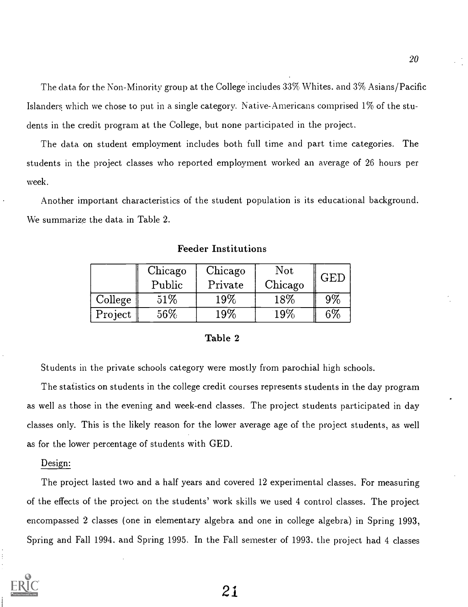The data for the Non-Minority group at the College includes 33% Whites. and 3% Asians/Pacific Islanders which we chose to put in a single category. Native-Americans comprised 1% of the students in the credit program at the College, but none participated in the project.

The data on student employment includes both full time and part time categories. The students in the project classes who reported employment worked an average of 26 hours per week.

Another important characteristics of the student population is its educational background. We summarize the data in Table 2.

|         | Chicago<br>Public | Chicago<br>Private | Not<br>Chicago | <b>GED</b> |
|---------|-------------------|--------------------|----------------|------------|
| College | 51%               | $19\%$             | 18%            | $9\%$      |
| Project | 56%               | 19%                | $19\%$         | 6%         |

Feeder Institutions

#### Table 2

Students in the private schools category were mostly from parochial high schools.

The statistics on students in the college credit courses represents students in the day program as well as those in the evening and week-end classes. The project students participated in day classes only. This is the likely reason for the lower average age of the project students, as well as for the lower percentage of students with GED.

#### Design:

The project lasted two and a half years and covered 12 experimental classes. For measuring of the effects of the project on the students' work skills we used 4 control classes. The project encompassed 2 classes (one in elementary algebra and one in college algebra) in Spring 1993, Spring and Fall 1994. and Spring 1995. In the Fall semester of 1993, the project had 4 classes

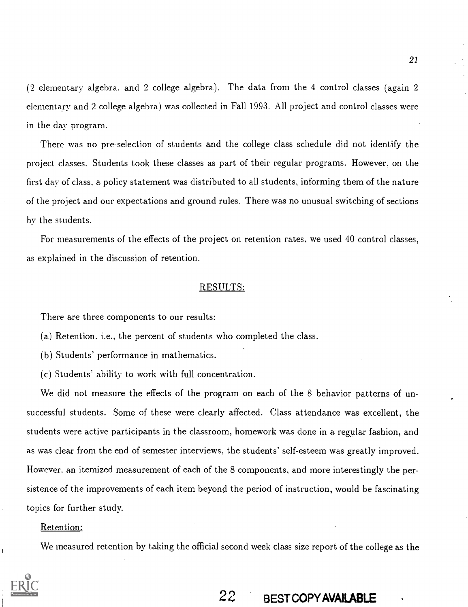(2 elementary algebra, and 2 college algebra). The data from the 4 control classes (again 2 elementary and 2 college algebra) was collected in Fall 1993. All project and control classes were in the day program.

There was no pre-selection of students and the college class schedule did not identify the project classes. Students took these classes as part of their regular programs. However, on the first day of class, a policy statement was distributed to all students, informing them of the nature of the project and our expectations and ground rules. There was no unusual switching of sections by the students.

For measurements of the effects of the project on retention rates, we used 40 control classes, as explained in the discussion of retention.

# RESULTS:

There are three components to our results:

(a) Retention. i.e., the percent of students who completed the class.

- (h) Students' performance in mathematics.
- (c) Students' ability to work with full concentration.

We did not measure the effects of the program on each of the 8 behavior patterns of unsuccessful students. Some of these were clearly affected. Class attendance was excellent, the students were active participants in the classroom, homework was done in a regular fashion, and as was clear from the end of semester interviews, the students' self-esteem was greatly improved. However. an itemized measurement of each of the 8 components, and more interestingly the persistence of the improvements of each item beyond the period of instruction, would be fascinating topics for further study.

# Retention:

We measured retention by taking the official second week class size report of the college as the

# 21

# 22 BEST COPY AVAILABLE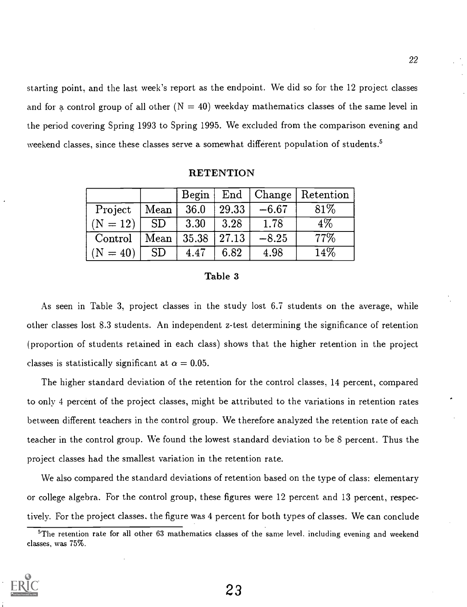starting point, and the last week's report as the endpoint. We did so for the 12 project classes and for a control group of all other  $(N = 40)$  weekday mathematics classes of the same level in the period covering Spring 1993 to Spring 1995. We excluded from the comparison evening and weekend classes, since these classes serve a somewhat different population of students.<sup>5</sup>

#### **RETENTION**

|                |                 |                                                  |                |         | Begin   End   Change   Retention |
|----------------|-----------------|--------------------------------------------------|----------------|---------|----------------------------------|
| Project   Mean |                 |                                                  | $36.0$   29.33 | $-6.67$ | $81\%$                           |
| $  (N = 12)  $ | SD <sub>-</sub> | $\vert$ 3.30                                     | $\vert$ 3.28   | 1.78    | $4\%$                            |
| $\rm Control$  |                 | $\vert$ Mean $\vert$ 35.38 $\vert$ 27.13 $\vert$ |                | $-8.25$ | 77\%                             |
| $(N = 40)$     | <b>SD</b>       | 4.47                                             | 6.82           | 4.98    | 14\%                             |

## Table 3

As seen in Table 3, project classes in the study lost 6.7 students on the average, while other classes lost 8.3 students. An independent z-test determining the significance of retention (proportion of students retained in each class) shows that the higher retention in the project classes is statistically significant at  $\alpha = 0.05$ .

The higher standard deviation of the retention for the control classes, 14 percent, compared to only 4 percent of the project classes, might be attributed to the variations in retention rates between different teachers in the control group. We therefore analyzed the retention rate of each teacher in the control group. We found the lowest standard deviation to be 8 percent. Thus the project classes had the smallest variation in the retention rate.

We also compared the standard deviations of retention based on the type of class: elementary or college algebra. For the control group, these figures were 12 percent and 13 percent, respectively. For the project classes, the figure was 4 percent for both types of classes. We can conclude

 $5$ The retention rate for all other 63 mathematics classes of the same level, including evening and weekend classes, was 75%.

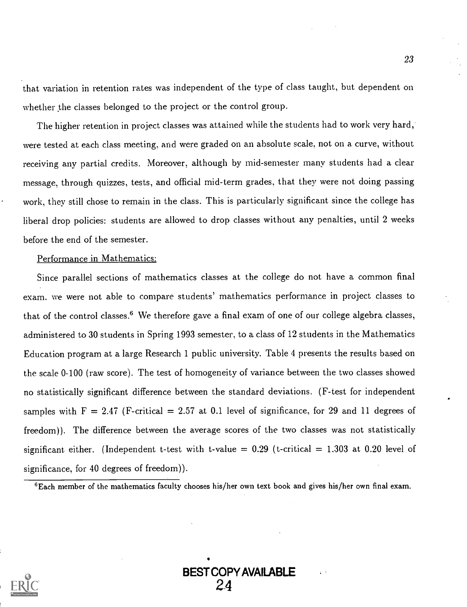that variation in retention rates was independent of the type of class taught, but dependent on whether the classes belonged to the project or the control group.

The higher retention in project classes was attained while the students had to work very hard, were tested at each class meeting, and were graded on an absolute scale, not on a curve, without receiving any partial credits. Moreover, although by mid-semester many students had a clear message, through quizzes, tests, and official mid-term grades, that they were not doing passing work, they still chose to remain in the class. This is particularly significant since the college has liberal drop policies: students are allowed to drop classes without any penalties, until 2 weeks before the end of the semester.

#### Performance in Mathematics:

Since parallel sections of mathematics classes at the college do not have a common final exam. we were not able to compare students' mathematics performance in project classes to that of the control classes.<sup>6</sup> We therefore gave a final exam of one of our college algebra classes, administered to 30 students in Spring 1993 semester, to a class of 12 students in the Mathematics Education program at a large Research 1 public university. Table 4 presents the results based on the scale 0-100 (raw score). The test of homogeneity of variance between the two classes showed no statistically significant difference between the standard deviations. (F-test for independent samples with  $F = 2.47$  (F-critical = 2.57 at 0.1 level of significance, for 29 and 11 degrees of freedom)). The difference between the average scores of the two classes was not statistically significant either. (Independent t-test with t-value =  $0.29$  (t-critical = 1.303 at 0.20 level of significance, for 40 degrees of freedom)).

 $6$ Each member of the mathematics faculty chooses his/her own text book and gives his/her own final exam.



BEST COPY AVAILABLE 2\_4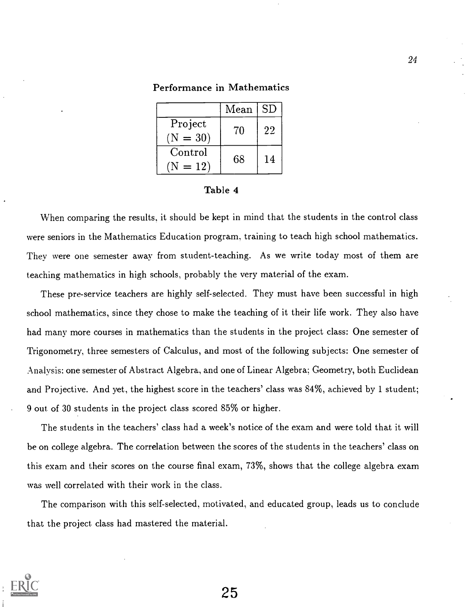|                       | Mean   SD |    |
|-----------------------|-----------|----|
| Project<br>$(N = 30)$ | 70        | 22 |
| Control<br>$(N = 12)$ | 68        | 14 |

## Performance in Mathematics

#### Table 4

When comparing the results, it should be kept in mind that the students in the control class were seniors in the Mathematics Education program, training to teach high school mathematics. They were one semester away from student-teaching. As we write today most of them are teaching mathematics in high schools, probably the very material of the exam.

These pre-service teachers are highly self-selected. They must have been successful in high school mathematics, since they chose to make the teaching of it their life work. They also have had many more courses in mathematics than the students in the project class: One semester of Trigonometry, three semesters of Calculus, and most of the following subjects: One semester of Analysis: one semester of Abstract Algebra, and one of Linear Algebra; Geometry, both Euclidean and Projective. And yet, the highest score in the teachers' class was 84%, achieved by 1 student; 9 out. of 30 students in the project class scored 85% or higher.

The students in the teachers' class had a week's notice of the exam and were told that it will be on college algebra. The correlation between the scores of the students in the teachers' class on this exam and their scores on the course final exam, 73%, shows that the college algebra exam was well correlated with their work in the class.

The comparison with this self-selected, motivated, and educated group, leads us to conclude that the project class had mastered the material.

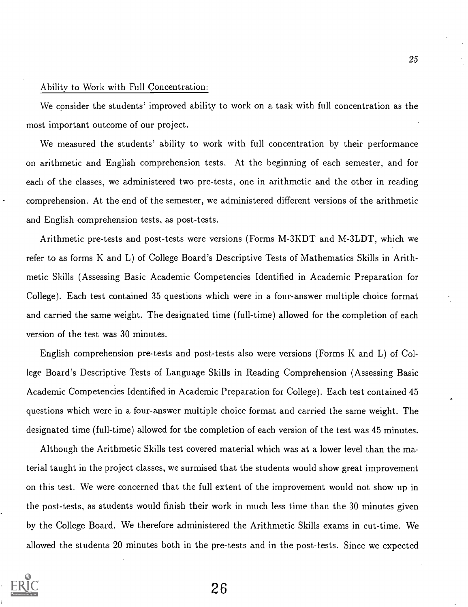## Ability to Work with Full Concentration:

We consider the students' improved ability to work on a task with full concentration as the most important outcome of our project.

We measured the students' ability to work with full concentration by their performance on arithmetic and English comprehension tests. At the beginning of each semester, and for each of the classes, we administered two pre-tests, one in arithmetic and the other in reading comprehension. At the end of the semester, we administered different versions of the arithmetic and English comprehension tests, as post-tests.

Arithmetic pre-tests and post-tests were versions (Forms M-3KDT and M-3LDT, which we refer to as forms K and L) of College Board's Descriptive Tests of Mathematics Skills in Arithmetic Skills (Assessing Basic Academic Competencies Identified in Academic Preparation for College). Each test contained 35 questions which were in a. four-answer multiple choice format and carried the same weight. The designated time (full-time) allowed for the completion of each version of the test was 30 minutes.

English comprehension pre-tests and post-tests also were versions (Forms K and L) of College Board's Descriptive Tests of Language Skills in Reading Comprehension (Assessing Basic Academic Competencies Identified in Academic Preparation for College). Each test contained 45 questions which were in a four-answer multiple choice format and carried the same weight. The designated time (full-time) allowed for the completion of each version of the test was 45 minutes.

Although the Arithmetic Skills test covered material which was at a lower level than the material taught in the project classes, we surmised that the students would show great improvement on this test. We were concerned that the full extent of the improvement would not show up in the post-tests, as students would finish their work in much less time than the 30 minutes given by the College Board. We therefore administered the Arithmetic Skills exams in cut-time. We allowed the students 20 minutes both in the pre-tests and in the post-tests. Since we expected

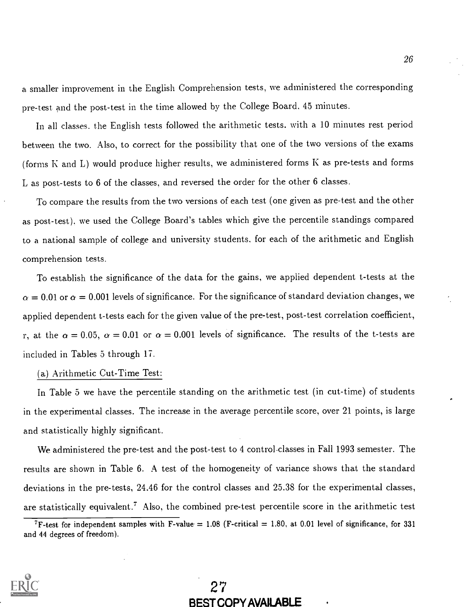a. smaller improvement in the English Comprehension tests, we administered the corresponding pre-test and the post-test in the time allowed by the College Board, 45 minutes.

In all classes. the English tests followed the arithmetic tests. with a 10 minutes rest period between the two. Also, to correct for the possibility that one of the two versions of the exams (forms K and L) would produce higher results, we administered forms K as pre-tests and forms L as post-tests to 6 of the classes, and reversed the order for the other 6 classes.

To compare the results from the two versions of each test (one given as pre-test and the other as post.-test), we used the College Board's tables which give the percentile standings compared to a national sample of college and university students, for each of the arithmetic and English comprehension tests.

To establish the significance of the data for the gains, we applied dependent t-tests at the  $\alpha = 0.01$  or  $\alpha = 0.001$  levels of significance. For the significance of standard deviation changes, we applied dependent t-tests each for the given value of the pre-test, post-test correlation coefficient, r, at the  $\alpha = 0.05$ ,  $\alpha = 0.01$  or  $\alpha = 0.001$  levels of significance. The results of the t-tests are included in Tables 5 through 17.

# (a) Arithmetic Cut-Time Test:

In Table 5 we have the percentile standing on the arithmetic test (in cut-time) of students in the experimental classes. The increase in the average percentile score, over 21 points, is large and statistically highly significant.

We administered the pre-test and the post-test to 4 control.classes in Fall 1993 semester. The results are shown in Table 6. A test of the homogeneity of variance shows that the standard deviations in the pre-tests, 24.46 for the control classes and 25.38 for the experimental classes, are statistically equivalent.' Also, the combined pre-test percentile score in the arithmetic test



<sup>&</sup>lt;sup>7</sup>F-test for independent samples with F-value = 1.08 (F-critical = 1.80, at 0.01 level of significance, for 331 and 44 degrees of freedom).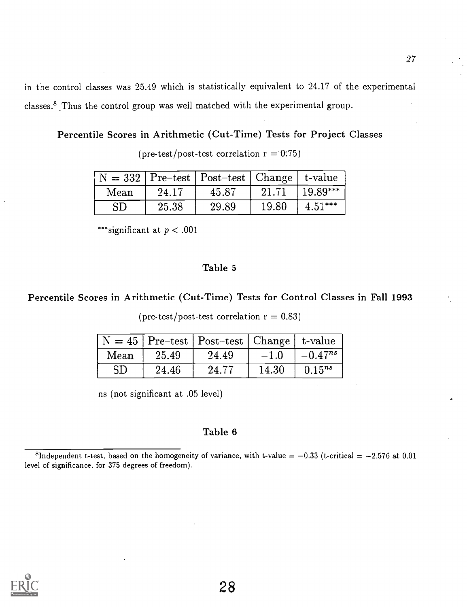in the control classes was 25.49 which is statistically equivalent to 24.17 of the experimental classes.<sup>8</sup> Thus the control group was well matched with the experimental group.

Percentile Scores in Arithmetic (Cut-Time) Tests for Project Classes

(pre-test/post-test correlation  $r = 0.75$ )

|           |       | $\vert N = 332 \vert$ Pre-test   Post-test   Change   t-value |       |            |
|-----------|-------|---------------------------------------------------------------|-------|------------|
| Mean      | 24.17 | 45.87                                                         | 21.71 | $19.89***$ |
| <b>SD</b> | 25.38 | 29.89                                                         | 19.80 | $4.51***$  |

\*\*\*significant at  $p < .001$ 

# Table 5

# Percentile Scores in Arithmetic (Cut-Time) Tests for Control Classes in Fall 1993

(pre-test/post-test correlation  $r = 0.83$ )

|           |       | $\vert N = 45$ Pre-test Post-test   Change   t-value |       |                       |
|-----------|-------|------------------------------------------------------|-------|-----------------------|
| Mean      | 25.49 | 24.49                                                |       | $-1.0$ $ -0.47^{ns} $ |
| <b>SD</b> | 24.46 | 24.77                                                | 14.30 | $0.15^{ns}$           |

ns (not significant at .05 level)

## Table 6

<sup>8</sup>Independent t-test, based on the homogeneity of variance, with t-value =  $-0.33$  (t-critical =  $-2.576$  at 0.01 level of significance. for 375 degrees of freedom).

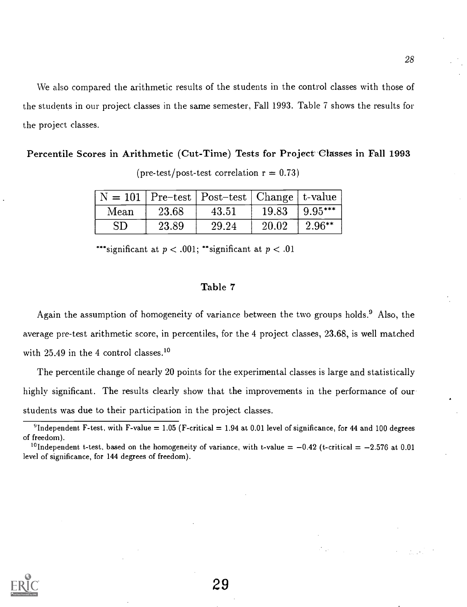We also compared the arithmetic results of the students in the control classes with those of the students in our project classes in the same semester, Fall 1993. Table 7 shows the results for the project classes.

Percentile Scores in Arithmetic (Cut-Time) Tests for Project Classes in Fall 1993

|            |       | $N = 101$ Pre-test   Post-test   Change   t-value |       |            |
|------------|-------|---------------------------------------------------|-------|------------|
| Mean       | 23.68 | 43.51                                             | 19.83 | $ 9.95***$ |
| ${\rm SD}$ | 23.89 | 29.24                                             | 20.02 | $2.96**$   |

(pre-test/post-test correlation  $r = 0.73$ )

\*\*\*significant at  $p < .001$ ; \*\*significant at  $p < .01$ 

# Table 7

Again the assumption of homogeneity of variance between the two groups holds.<sup>9</sup> Also, the average pre-test arithmetic score, in percentiles, for the 4 project classes, 23.68, is well matched with 25.49 in the 4 control classes.<sup>10</sup>

The percentile change of nearly 20 points for the experimental classes is large and statistically highly significant. The results clearly show that the improvements in the performance of our students was due to their participation in the project classes.



<sup>&</sup>lt;sup>9</sup>Independent F-test, with F-value = 1.05 (F-critical = 1.94 at 0.01 level of significance, for 44 and 100 degrees of freedom).

<sup>&</sup>lt;sup>10</sup>Independent t-test, based on the homogeneity of variance, with t-value  $= -0.42$  (t-critical  $= -2.576$  at 0.01 level of significance, for 144 degrees of freedom).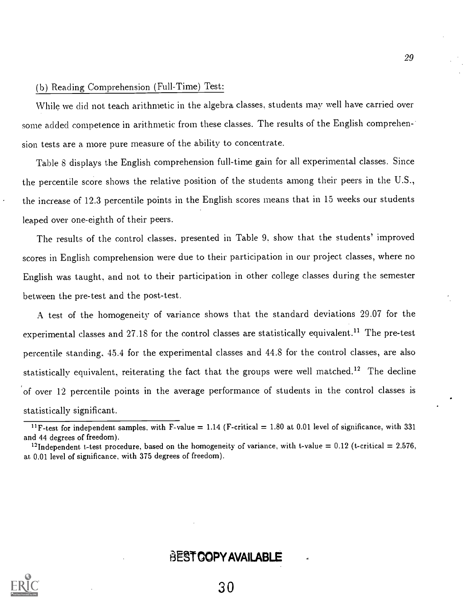# (b) Reading Comprehension (Full-Time) Test:

While we did not teach arithmetic in the algebra classes, students may well have carried over some added competence in arithmetic from these classes. The results of the English comprehen-' sion tests are a more pure measure of the ability to concentrate.

Table 8 displays the English comprehension full-time gain for all experimental classes. Since the percentile score shows the relative position of the students among their peers in the U.S., the increase of 12.3 percentile points in the English scores means that in 15 weeks our students leaped over one-eighth of their peers.

The results of the control classes, presented in Table 9, show that the students' improved scores in English comprehension were due to their participation in our project classes, where no English was taught, and not to their participation in other college classes during the semester between the pre-test and the post-test.

A test. of the homogeneity of variance shows that the standard deviations 29.07 for the experimental classes and 27.18 for the control classes are statistically equivalent.<sup>11</sup> The pre-test percentile standing, 45.4 for the experimental classes and 44.8 for the control classes, are also statistically equivalent, reiterating the fact that the groups were well matched.<sup>12</sup> The decline of over 12 percentile points in the average performance of students in the control classes is statistically significant.

# BEST COPY AVAILABLE

<sup>&</sup>lt;sup>11</sup>F-test for independent samples, with F-value = 1.14 (F-critical = 1.80 at 0.01 level of significance, with 331 and 44 degrees of freedom).

<sup>&</sup>lt;sup>12</sup>Independent t-test procedure, based on the homogeneity of variance, with t-value = 0.12 (t-critical = 2.576, at. 0.01 level of significance, with 375 degrees of freedom).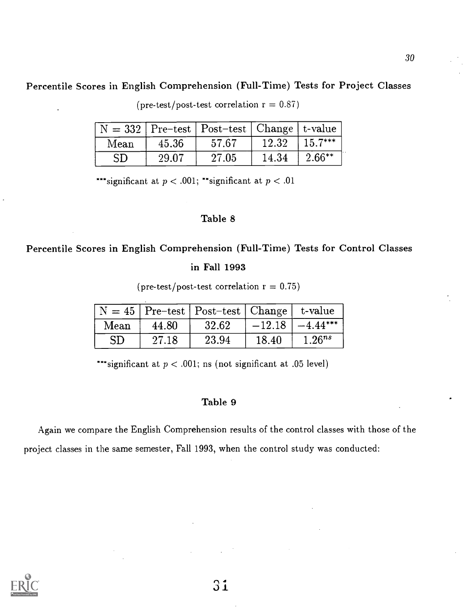# Percentile Scores in English Comprehension (Full-Time) Tests for Project Classes

 $N = 332$  Pre-test Post-test Change t-value<br>Mean 45.36 57.67 12.32 15.7\*\*\*  $\text{Mean} \quad | \quad 45.36 \quad | \quad 57.67 \quad | \quad 12.32 \quad | \; 15.7^{\ast\ast\ast} \quad |$  $\text{SD}$  | 29.07 | 27.05 | 14.34 | 2.66\*\* |

 $(\text{pre-test}/\text{post-test correlation r} = 0.87)$ 

\*\*\*significant at  $p < .001$ ; \*\*significant at  $p < .01$ 

# Table 8

# Percentile Scores in English Comprehension (Full-Time) Tests for Control Classes

# in Fall 1993

 $(\text{pre-test}/\text{post-test correlation r} = 0.75)$ 

|      |       | $N = 45$ Pre-test   Post-test   Change   t-value |       |                       |
|------|-------|--------------------------------------------------|-------|-----------------------|
| Mean | 44.80 | 32.62                                            |       | $-12.18$   $-4.44***$ |
| SD   | 27.18 | 23.94                                            | 18.40 | $1.26^{ns}$           |

\*\*\*significant at  $p < .001$ ; ns (not significant at .05 level)

# Table 9

Again we compare the English Comprehension results of the control classes with those of the project classes in the same semester, Fall 1993, when the control study was conducted:

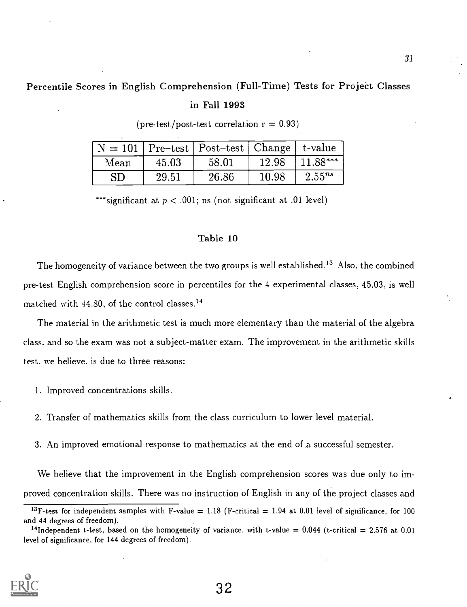# Percentile Scores in English Comprehension (Full-Time) Tests for Project Classes

# in Fall 1993

|            |       | $N = 101$   Pre-test   Post-test   Change   t-value |       |             |
|------------|-------|-----------------------------------------------------|-------|-------------|
| Mean       | 45.03 | 58.01                                               | 12.98 | 11.88***    |
| ${\rm SD}$ | 29.51 | 26.86                                               | 10.98 | $2.55^{ns}$ |

(pre-test/post-test correlation  $r = 0.93$ )

\*\*\*significant at  $p < .001$ ; ns (not significant at .01 level)

# Table 10

The homogeneity of variance between the two groups is well established.<sup>13</sup> Also, the combined pre-test English comprehension score in percentiles for the 4 experimental classes, 45.03, is well matched with 44.80, of the control classes.<sup>14</sup>

The material in the arithmetic test is much more elementary than the material of the algebra class, and so the exam was not a subject-matter exam. The improvement in the arithmetic skills test. we believe, is due to three reasons:

- 1. Improved concentrations skills.
- 2. Transfer of mathematics skills from the class curriculum to lower level material.
- 3. An improved emotional response to mathematics at the end of a successful semester.

We believe that the improvement in the English comprehension scores was due only to improved concentration skills. There was no instruction of English in any of the project classes and

<sup>&</sup>lt;sup>14</sup>Independent t-test, based on the homogeneity of variance, with t-value = 0.044 (t-critical = 2.576 at 0.01 level of significance, for 144 degrees of freedom).



<sup>&</sup>lt;sup>13</sup>F-test for independent samples with F-value = 1.18 (F-critical = 1.94 at 0.01 level of significance, for 100 and 44 degrees of freedom).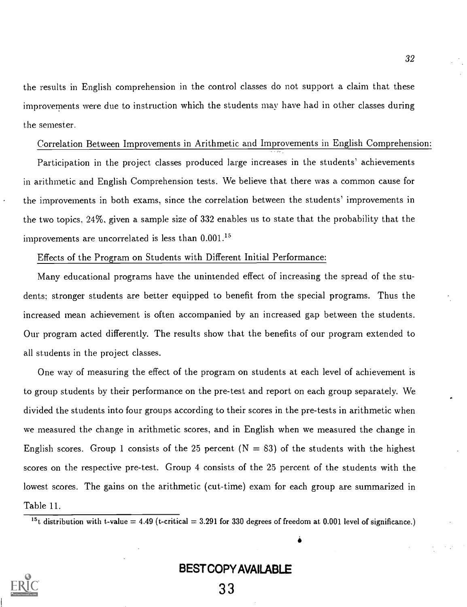the results in English comprehension in the control classes do not support a claim that these improvements were due to instruction which the students may have had in other classes during the semester.

# Correlation Between Improvements in Arithmetic and Improvements in English Comprehension:

Participation in the project classes produced large increases in the students' achievements in arithmetic and English Comprehension tests. We believe that there was a common cause for the improvements in both exams, since the correlation between the students' improvements in the two topics. 24%, given a sample size of 332 enables us to state that the probability that the improvements are uncorrelated is less than  $0.001$ .<sup>15</sup>

#### Effects of the Program on Students with Different Initial Performance:

Many educational programs have the unintended effect of increasing the spread of the students; stronger students are better equipped to benefit from the special programs. Thus the increased mean achievement is often accompanied by an increased gap between the students. Our program acted differently. The results show that the benefits of our program extended to all students in the project classes.

One way of measuring the effect of the program on students at each level of achievement is to group students by their performance on the pre-test and report on each group separately. We divided the students into four groups according to their scores in the pre-tests in arithmetic when we measured the change in arithmetic scores, and in English when we measured the change in English scores. Group 1 consists of the 25 percent  $(N = 83)$  of the students with the highest scores on the respective pre-test. Group 4 consists of the 25 percent of the students with the lowest scores. The gains on the arithmetic (cut-time) exam for each group are summarized in Table 11.

 $15t$  distribution with t-value = 4.49 (t-critical = 3.291 for 330 degrees of freedom at 0.001 level of significance.)

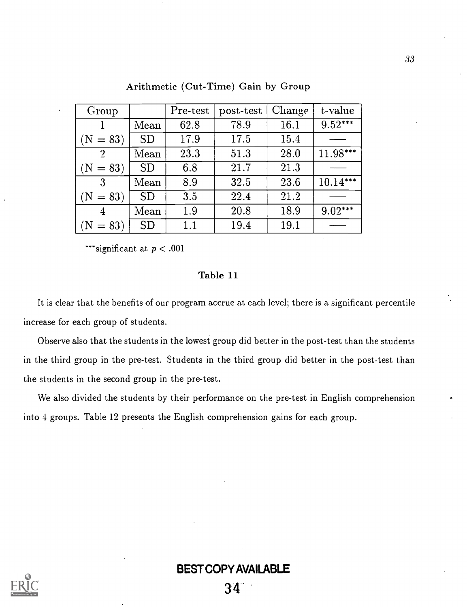| Group          |           | Pre-test | post-test | Change | t-value    |
|----------------|-----------|----------|-----------|--------|------------|
|                | Mean      | 62.8     | 78.9      | 16.1   | $9.52***$  |
| $(N = 83)$     | SD        | 17.9     | 17.5      | 15.4   |            |
| $\overline{2}$ | Mean      | 23.3     | 51.3      | 28.0   | 11.98***   |
| $(N = 83)$     | SD        | 6.8      | 21.7      | 21.3   |            |
| $\mathbf{3}$   | Mean      | 8.9      | 32.5      | 23.6   | $10.14***$ |
| $(N = 83)$     | <b>SD</b> | 3.5      | 22.4      | 21.2   |            |
| 4              | Mean      | 1.9      | 20.8      | 18.9   | $9.02***$  |
| $= 83$         | <b>SD</b> | 1.1      | 19.4      | 19.1   |            |

Arithmetic (Cut-Time) Gain by Group

\*\*\*significant at  $p < .001$ 

# Table 11

It is clear that the benefits of our program accrue at each level; there is a significant percentile increase for each group of students.

Observe also that the students in the lowest group did better in the post-test than the students in the third group in the pre-test. Students in the third group did better in the post-test than the students in the second group in the pre-test.

We also divided the students by their performance on the pre-test in English comprehension into 4 groups. Table 12 presents the English comprehension gains for each group.

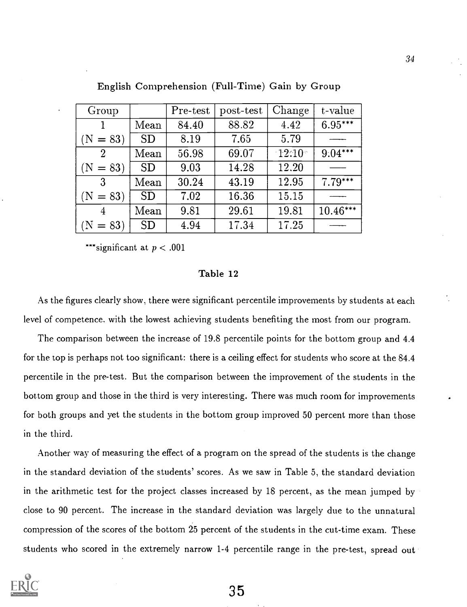| Group          |           | Pre-test | post-test | Change    | t-value    |
|----------------|-----------|----------|-----------|-----------|------------|
|                | Mean      | 84.40    | 88.82     | 4.42      | $6.95***$  |
| $(N = 83)$     | <b>SD</b> | 8.19     | 7.65      | 5.79      |            |
| $\overline{2}$ | Mean      | 56.98    | 69.07     | $-12.10-$ | $9.04***$  |
| $(N = 83)$     | <b>SD</b> | 9.03     | 14.28     | 12.20     |            |
| $\mathbf{3}$   | Mean      | 30.24    | 43.19     | 12.95     | $7.79***$  |
| $(N = 83)$     | <b>SD</b> | 7.02     | 16.36     | 15.15     |            |
| 4              | Mean      | 9.81     | 29.61     | 19.81     | $10.46***$ |
| $(N = 83)$     | <b>SD</b> | 4.94     | 17.34     | 17.25     |            |

English Comprehension (Full-Time) Gain by Group

\*\*\*significant at  $p < .001$ 

# Table 12

As the figures clearly show, there were significant percentile improvements by students at each level of competence. with the lowest achieving students benefiting the most from our program.

The comparison between the increase of 19.8 percentile points for the bottom group and 4.4 for the top is perhaps not too significant: there is a ceiling effect for students who score at the 84.4 percentile in the pre-test. But the comparison between the improvement of the students in the bottom group and those in the third is very interesting. There was much room for improvements for both groups and yet the students in the bottom group improved 50 percent more than those in the third.

Another way of measuring the effect of a program on the spread of the students is the change in the standard deviation of the students' scores. As we saw in Table 5, the standard deviation in the arithmetic test for the project classes increased by 18 percent, as the mean jumped by close to 90 percent. The increase in the standard deviation was largely due to the unnatural compression of the scores of the bottom 25 percent of the students in the cut-time exam. These students who scored in the extremely narrow 1-4 percentile range in the pre-test, spread out

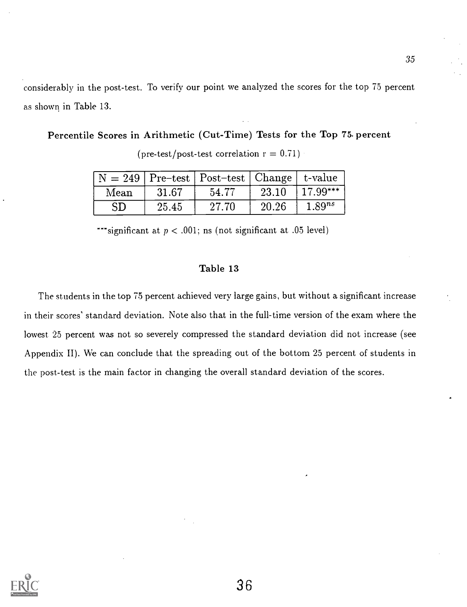considerably in the post-test. To verify our point we analyzed the scores for the top 75 percent as shown in Table 13.

Percentile Scores in Arithmetic (Cut-Time) Tests for the Top 75. percent

|      |       | $\vert N = 249 \vert$ Pre-test   Post-test   Change   t-value |       |             |
|------|-------|---------------------------------------------------------------|-------|-------------|
| Mean | 31.67 | 54.77                                                         | 23.10 | $17.99***$  |
| SD   | 25.45 | 27.70                                                         | 20.26 | $1.89^{ns}$ |

(pre-test/post-test correlation  $r = 0.71$ )

 $\overline{\phantom{a}}^*$  significant at  $p < .001$ ; ns (not significant at .05 level)

# Table 13

The students in the top 75 percent achieved very large gains, but without a significant increase in their scores' standard deviation. Note also that in the full-time version of the exam where the lowest. 25 percent was not so severely compressed the standard deviation did not increase (see Appendix II). We can conclude that the spreading out of the bottom 25 percent of students in the post-test is the main factor in changing the overall standard deviation of the scores.

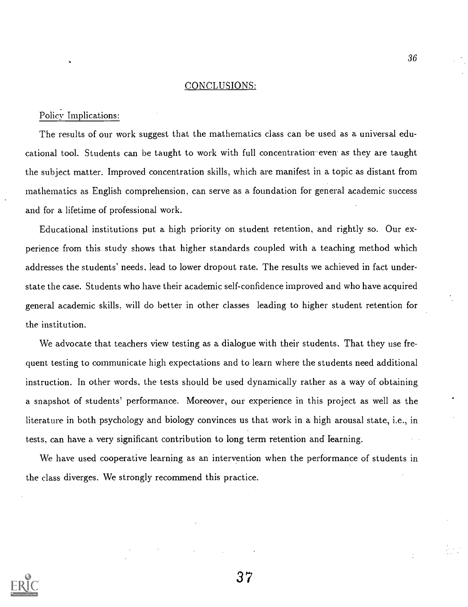#### CONCLUSIONS:

# Policy Implications:

The results of our work suggest that the mathematics class can be used as a universal educational tool. Students can be taught to work with full concentration even as they are taught the subject matter. Improved concentration skills, which are manifest in a topic as distant from mathematics as English comprehension, can serve as a foundation for general academic success and for a lifetime of professional work.

Educational institutions put a high priority on student retention, and rightly so. Our experience from this study shows that higher standards coupled with a teaching method which addresses the students' needs, lead to lower dropout rate. The results we achieved in fact understate the case. Students who have their academic self-confidence improved and who have acquired general academic skills, will do better in other classes leading to higher student retention for the institution.

We advocate that teachers view testing as a dialogue with their students. That they use frequent testing to communicate high expectations and to learn where the students need additional instruction. In other words, the tests should be used dynamically rather as a way of obtaining a snapshot of students' performance. Moreover, our experience in this project as well as the literature in both psychology and biology convinces us that work in a high arousal state, i.e., in tests, can have a. very significant contribution to long term retention and learning.

We have used cooperative learning as an intervention when the performance of students in the class diverges. We strongly recommend this practice.



37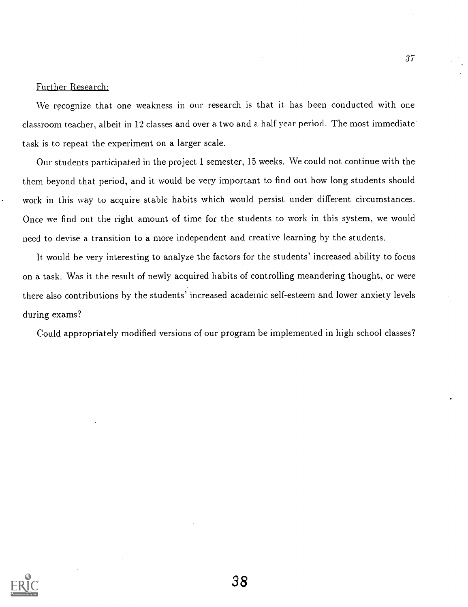## Further Research:

We recognize that one weakness in our research is that it has been conducted with one classroom teacher, albeit in 12 classes and over a two and a half year period. The most immediate task is to repeat the experiment on a larger scale.

Our students participated in the project 1 semester, 15 weeks. We could not continue with the them beyond that period, and it would he very important to find out how long students should work in this way to acquire stable habits which would persist under different circumstances. Once we find out the right amount of time for the students to work in this system, we would need to devise a transition to a more independent and creative learning by the students.

It would he very interesting to analyze the factors for the students' increased ability to focus on a task. Was it the result of newly acquired habits of controlling meandering thought, or were there also contributions by the students' increased academic self-esteem and lower anxiety levels during exams?

Could appropriately modified versions of our program be implemented in high school classes?

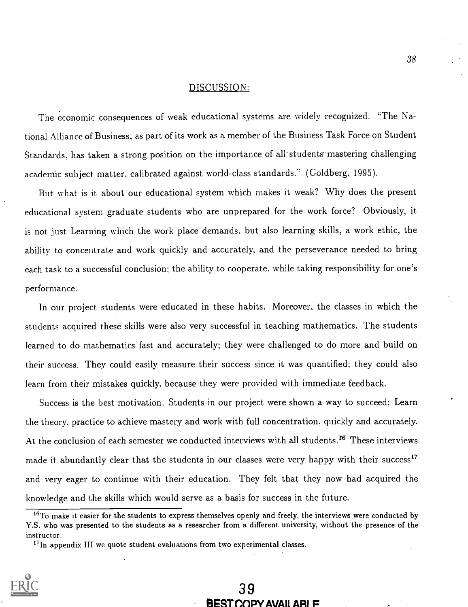### DISCUSSION:

The economic consequences of weak educational systems are widely recognized. "The National Alliance of Business, as part of its work as a member of the Business Task Force on Student Standards, has taken a strong position on the importance of all students mastering challenging academic subject matter, calibrated against world-class standards." (Goldberg, 1995).

But. what is it. about our educational system which makes it weak? Why does the present educational system graduate students who are unprepared for the work force? Obviously, it is not. just. Learning which the work place demands. but also learning skills, a work ethic, the ability to concentrate and work quickly and accurately, and the perseverance needed to bring each task to a successful conclusion; the ability to cooperate, while taking responsibility for one's performance.

In our project students were educated in these habits. Moreover, the classes in which the students acquired these skills were also very successful in teaching mathematics. The students learned to do mathematics fast and accurately; they were challenged to do more and build on their success. They could easily measure their success since it was quantified; they could also learn from their mistakes quickly, because they were provided with immediate feedback.

Success is the best motivation. Students in our project were shown. a way to succeed: Learn the theory, practice to achieve mastery and work with full concentration, quickly and accurately. At the conclusion of each semester we conducted interviews with all students.<sup>16</sup> These interviews made it abundantly clear that the students in our classes were very happy with their success<sup>17</sup> and very eager to continue with their education. They felt that they now had acquired the knowledge and the skills which would serve as a basis for success in the future.

 $^{17}$ In appendix III we quote student evaluations from two experimental classes.



# 39 BEST COPY AVAIL ARL F

<sup>&</sup>lt;sup>16</sup>To make it easier for the students to express themselves openly and freely, the interviews were conducted by Y.S. who was presented to the students as a researcher from a different university, without the presence of the instructor.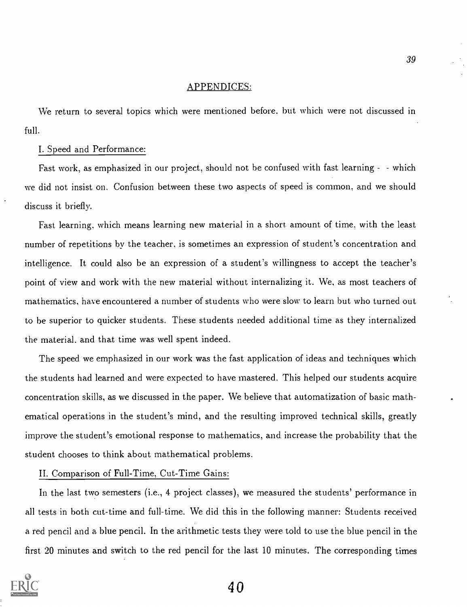# APPENDICES:

We return to several topics which were mentioned before. but which were not discussed in full.

## I. Speed and Performance:

Fast work, as emphasized in our project, should not be confused with fast learning - - which we did not insist on. Confusion between these two aspects of speed is common, and we should discuss it briefly.

Fast learning, which means learning new material in a short amount of time, with the least number of repetitions by the teacher, is sometimes an expression of student's concentration and intelligence. It could also be an expression of a student's willingness to accept the teacher's point of view and work with the new material without internalizing it. We, as most teachers of mathematics, have encountered a number of students who were slow to learn but who turned out to be superior to quicker students. These students needed additional time as they internalized the material, and that time was well spent indeed.

The speed we emphasized in our work was the fast application of ideas and techniques which the students had learned and were expected to have mastered. This helped our students acquire concentration skills, as we discussed in the paper. We believe that automatization of basic mathematical operations in the student's mind, and the resulting improved technical skills, greatly improve the student's emotional response to mathematics, and increase the probability that the student chooses to think about mathematical problems.

#### II. Comparison of Full-Time, Cut-Time Gains:

In the last two semesters (i.e., 4 project classes), we measured the students' performance in all tests in both cut-time and full-time. We did this in the following manner: Students received a red pencil and a blue pencil. In the arithmetic tests they were told to use the blue pencil in the first 20 minutes and switch to the red pencil for the last 10 minutes. The corresponding times

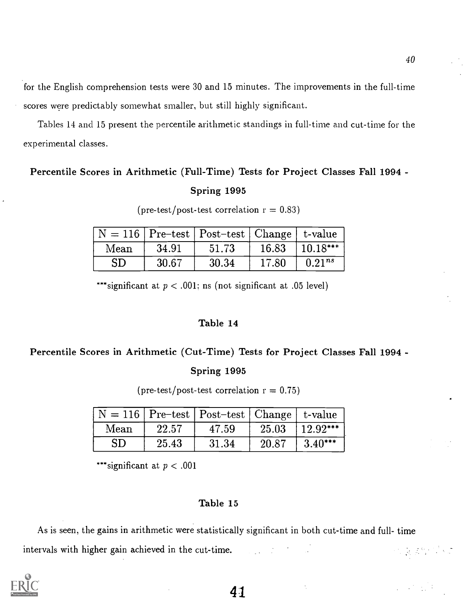for the English comprehension tests were 30 and 15 minutes. The improvements in the full-time scores were predictably somewhat smaller, but still highly significant.

Tables 14 and 15 present the percentile arithmetic standings in full-time and cut-time for the experimental classes.

# Percentile Scores in Arithmetic (Full-Time) Tests for Project Classes Fall 1994 - Spring 1995

|            |       | $N = 116$ Pre-test   Post-test   Change   t-value |       |             |
|------------|-------|---------------------------------------------------|-------|-------------|
| Mean       | 34.91 | 51.73                                             | 16.83 | $ 10.18***$ |
| ${\rm SD}$ | 30.67 | 30.34                                             | 17.80 | $0.21^{ns}$ |

 $(\text{pre-test}/\text{post-test correlation r} = 0.83)$ 

\*\*\*significant at  $p < .001$ ; ns (not significant at .05 level)

# Table 14

# Percentile Scores in Arithmetic (Cut-Time) Tests for Project Classes Fall 1994 -

# Spring 1995

(pre-test/post-test correlation  $r = 0.75$ )

|            |       | $\vert N = 116 \vert$ Pre-test   Post-test   Change   t-value |       |            |
|------------|-------|---------------------------------------------------------------|-------|------------|
| Mean       | 22.57 | 47.59                                                         | 25.03 | $12.92***$ |
| ${\rm SD}$ | 25.43 | 31.34                                                         | 20.87 | $3.40***$  |

\*\*\*significant at  $p < .001$ 

# Table 15

As is seen, the gains in arithmetic were statistically significant in both cut-time and full- time intervals with higher gain achieved in the cut-time. **化反差的** ()

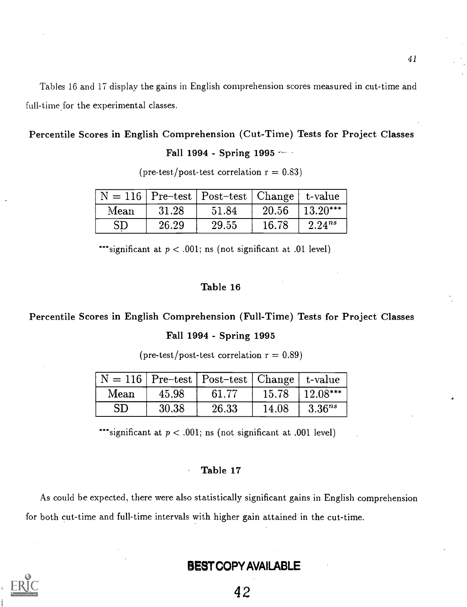Tables 16 and 17 display the gains in English comprehension scores measured in cut-time and full-time for the experimental classes.

# Percentile Scores in English Comprehension (Cut-Time) Tests for Project Classes

Fall 1994 - Spring 1995

|      |       | $\vert N = 116 \vert$ Pre-test   Post-test   Change   t-value |       |                    |
|------|-------|---------------------------------------------------------------|-------|--------------------|
| Mean | 31.28 | 51.84                                                         |       | $20.56$   13.20*** |
| SD   | 26.29 | 29.55                                                         | 16.78 | $2.24^{ns}$        |

(pre-test/post-test correlation  $r = 0.83$ )

\*\*\*significant at  $p < .001$ ; ns (not significant at .01 level)

# Table 16

# Percentile Scores in English Comprehension (Full-Time) Tests for Project Classes

# Fall 1994 - Spring 1995

 $(\text{pre-test}/\text{post-test correlation r} = 0.89)$ 

|            |       | $\vert N = 116 \vert$ Pre-test   Post-test   Change   t-value |       |             |
|------------|-------|---------------------------------------------------------------|-------|-------------|
| Mean       | 45.98 | 61.77                                                         | 15.78 | $12.08***$  |
| ${\rm SD}$ | 30.38 | 26.33                                                         | 14.08 | $3.36^{ns}$ |

\*\*\*significant at  $p < .001$ ; ns (not significant at .001 level)

## Table 17

As could be expected, there were also statistically significant gains in English comprehension for both cut-time and full-time intervals with higher gain attained in the cut-time.

# BEST COPY AVAILABLE

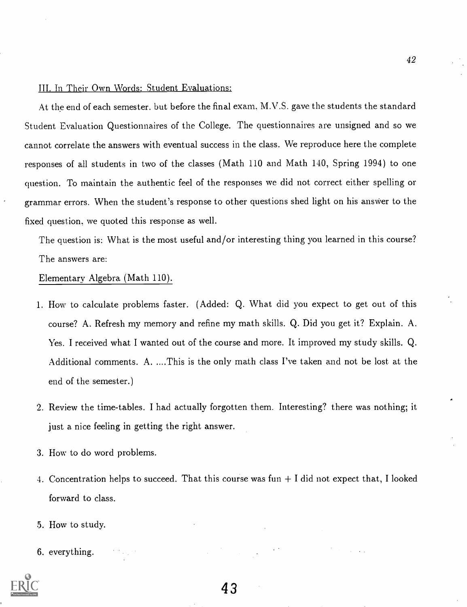# III. In Their Own Words: Student Evaluations:

At the end of each semester. but before the final exam, M.V.S. gave the students the standard Student Evaluation Questionnaires of the College. The questionnaires are unsigned and so we cannot correlate the answers with eventual success in the class. We reproduce here the complete responses of all students in two of the classes (Math 110 and Math 140, Spring 1994) to one question. To maintain the authentic feel of the responses we did not correct either spelling or grammar errors. When the student's response to other questions shed light on his answer to the fixed question, we quoted this response as well.

The question is: What is the most useful and/or interesting thing you learned in this course? The answers are:

### Elementary Algebra (Math 110).

- 1. How to calculate problems faster. (Added: Q. What did you expect to get out of this course? A. Refresh my memory and refine my math skills. Q. Did you get it? Explain. A. Yes. I received what I wanted out of the course and more. It improved my study skills. Q. Additional comments. A. ....This is the only math class I've taken and not be lost at the end of the semester.)
- 2. Review the time-tables. I had actually forgotten them. Interesting? there was nothing; it just a nice feeling in getting the right answer.
- 3. How to do word problems.
- 4. Concentration helps to succeed. That this course was fun  $+1$  did not expect that, I looked forward to class.
- 5. How to study.
- 6. everything.

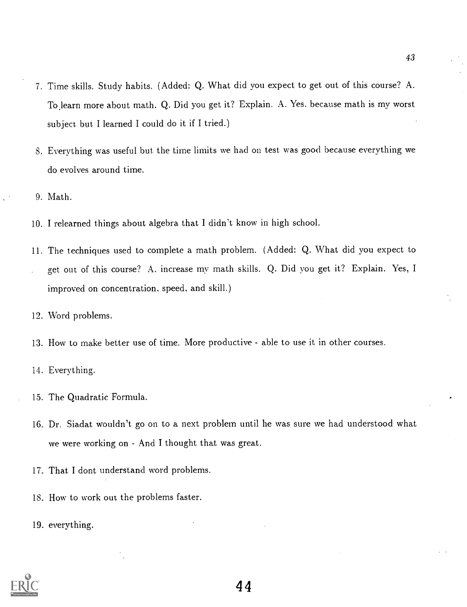- 7. Time skills. Study habits. (Added: Q. What did you expect to get out of this course? A. To.learn more about math. Q. Did you get it? Explain. A. Yes, because math is my worst subject but. I learned I could do it if I tried.)
- S. Everything was useful but, the time limits we had on test was good because everything we do evolves around time.
- 9. Math.
- 10. I relearned things about algebra that I didn't know in high school.
- 11. The techniques used to complete a math problem. (Added: Q. What did you expect to get out of this course? A. increase my math skills. Q. Did you get it? Explain. Yes, I improved on concentration. speed, and skill.)
- 12. Word problems.
- 13. How to make better use of time. More productive able to use it in other courses.
- 14. Everything.
- 15. The Quadratic Formula..
- 16. Dr. Siadat wouldn't go on to a next problem until he was sure we had understood what we were working on - And I thought that was great.
- 17. That I dont understand word problems.
- 18. How to work out the problems faster.
- 19. everything.

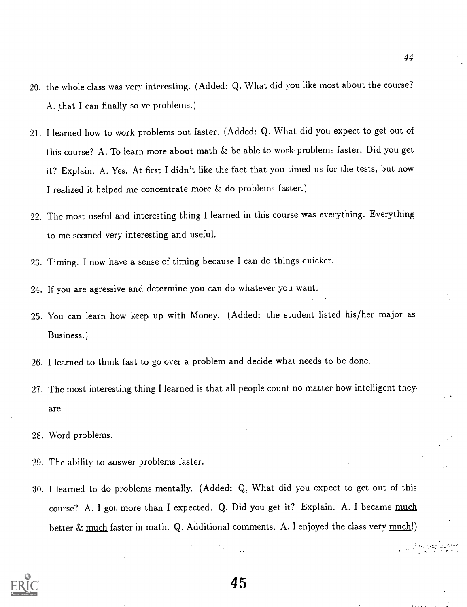- 20. the whole class was very interesting. (Added: Q. What did you like most about the course? A. that I can finally solve problems.)
- 21. I learned how to work problems out faster. (Added: Q. What did you expect to get out of this course? A. To learn more about math & be able to work problems faster. Did you get it? Explain. A. Yes. At first I didn't like the fact that you timed us for the tests, but now I realized it helped me concentrate more & do problems faster.)
- 22. The most useful and interesting thing I learned in this course was everything. Everything to me seemed very interesting and useful.
- 23. Timing. I now have a sense of timing because I can do things quicker.
- 24. If you are agressive and determine you can do whatever you want.
- 25. You can learn how keep up with Money. (Added: the student listed his/her major as Business.)
- 26. I learned to think fast to go over a problem and decide what needs to be done.
- 27. The most interesting thing I learned is that all people count no matter how intelligent they are.
- 28. Word problems.
- 29. The ability to answer problems faster.
- 30. I learned to do problems mentally. (Added: Q. What did you expect to get out of this course? A. I got more than I expected. Q. Did you get it? Explain. A. I became much better  $&$  much faster in math. Q. Additional comments. A. I enjoyed the class very much!)

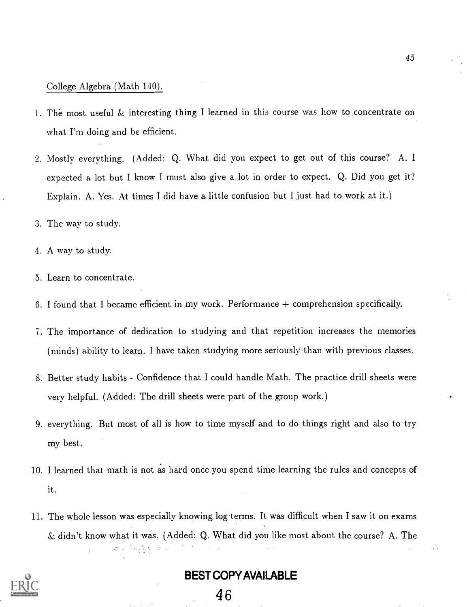# College Algebra (Math 140).

- 1. The most useful & interesting thing I learned in this course was how to concentrate on what I'm doing and be efficient.
- 2. Mostly everything. (Added: Q. What did you expect to get out of this course? A. I expected a lot but I know I must also give a lot in order to expect. Q. Did you get it? Explain. A. Yes. At times I did have a little confusion but I just had to work at it.)
- 3. The way to study.
- 4. A way to study.
- 5. Learn to concentrate.
- 6. I found that I became efficient in my work. Performance + comprehension specifically.
- 7. The importance of dedication to studying and that repetition increases the memories (minds) ability to learn. I have taken studying more seriously than with previous classes.
- 8. Better study habits Confidence that I could handle Math. The practice drill sheets were very helpful. (Added: The drill sheets were part of the group work.)
- 9. everything. But most of all is how to time myself and to do things right and also to try my best.
- 10. I learned that math is not as hard once you spend time learning the rules and concepts of it.
- 11. The whole lesson was especially knowing log-terms. It was difficult when I saw it on exams & didn't know what it was. (Added: Q. What did you like most about the course? A. The



# BEST COPY AVAILABLE

И,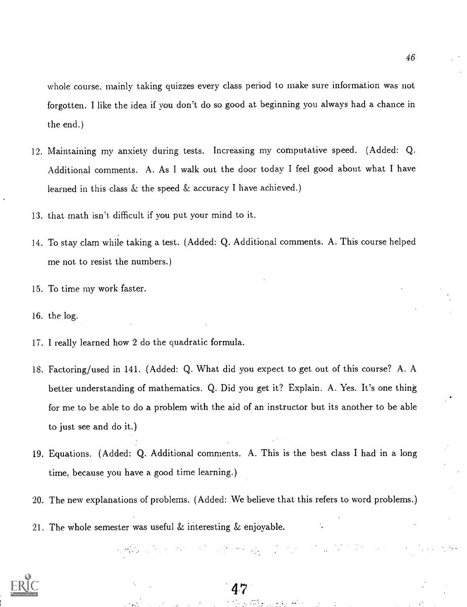whole course, mainly taking quizzes every class period to make sure information was not forgotten. I like the idea if you don't do so good at beginning you always had a chance in the end.)

- 12. Maintaining my anxiety during tests. Increasing my computative speed. (Added: Q. Additional comments. A. As I walk out the door today I feel good about what I have learned in this class & the speed & accuracy I have achieved.)
- 13. that math isn't difficult if you put your mind to it.
- 14. To stay clam while taking a test. (Added: Q. Additional comments. A. This course helped me not to resist the numbers.)
- 15. To time my work faster.
- 16. the log.
- 17. I really learned how 2 do the quadratic formula.
- 18. Factoring/used in 141. (Added: Q. What did you expect to get out of this course? A. A better understanding of mathematics. Q. Did you get it? Explain. A. Yes. It's one thing for me to be able to do a problem with the aid of an instructor but its another to be able to just see and do it.)
- 19. Equations. (Added: Q. Additional comments. A. This is the best class I had in a long time, because you have a good time learning.)
- 20. The new explanations of problems. (Added: We believe that this refers to word problems.)

2. 수업 All All Profile All All Control

21. The whole semester was useful & interesting & enjoyable.



 $47^\circ$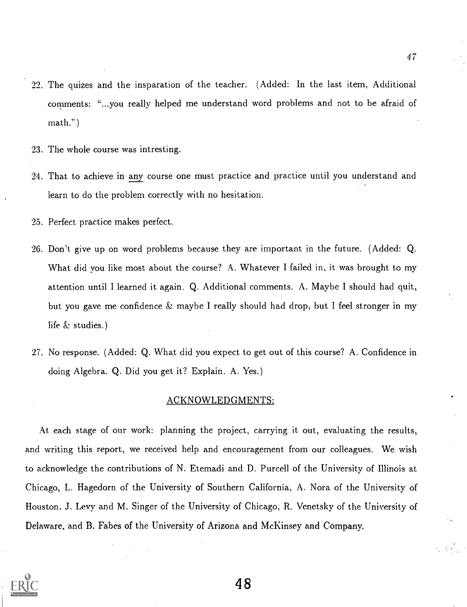- 22. The quizes and the insparation of the teacher. (Added: In the last item, Additional comments: "...you really helped me understand word problems and not to be afraid of math.")
- 23. The whole course was intresting.
- 24. That to achieve in any course one must practice and practice until you understand and learn to do the problem correctly with no hesitation.
- 25. Perfect practice makes perfect.
- 26. Don't give up on word problems because they are important in the future. (Added: Q. What did you like most about the course? A. Whatever I failed in, it was brought to my attention until I learned it again. Q. Additional comments. A. Maybe I should had quit, but you gave me confidence & maybe I really should had drop, but I feel stronger in my life & studies.)
- 27. No response. (Added: Q. What did you expect to get out of this course? A. Confidence in doing Algebra. Q. Did you get it? Explain. A. Yes.)

# ACKNOWLEDGMENTS:

At. each stage of our work: planning the project, carrying it out, evaluating the results, and writing this report, we received help and encouragement from our colleagues. We wish to acknowledge the contributions of N. Etemadi and D. Purcell of the University of Illinois at Chicago, L. Hagedorn of the University of Southern California, A. Nora of the University of Houston, J. Levy and M. Singer of the University of Chicago, R. Venetsky of the University of Delaware, and B. Fabes of the University of Arizona. and McKinsey and Company.

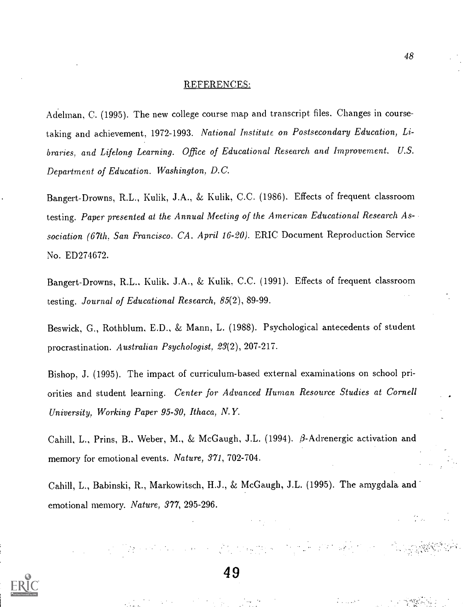### REFERENCES:

Adelman, C. (1995). The new college course map and transcript files. Changes in coursetaking and achievement, 1972-1993. National Institute on Postsecondary Education, Libraries, and Lifelong Learning. Office of Educational Research and Improvement. U.S. Department of Education. Washington, D.C.

Bangert-Drowns, R.L., Kulik, J.A., & Kulik, C.C. (1986). Effects of frequent classroom testing. Paper presented at the Annual Meeting of the American Educational Research Association (67th, San Francisco, CA, April 16-20). ERIC Document Reproduction Service No. ED274672.

Bangert-Drowns, R.L., Kulik, J.A., & Kulik. C.C. (1991). Effects of frequent classroom testing. Journal of Educational Research, 85(2), 89-99.

Beswick, G., Rothblum, E.D., & Mann, L. (1988). Psychological antecedents of student procrastination. Australian. Psychologist, 23(2), 207-217.

Bishop, J. (1995). The impact of curriculum-based external examinations on school priorities and student learning. Center for Advanced Human Resource Studies at Cornell University, Working Paper 95-30, Ithaca, N. Y.

Cahill, L., Prins, B., Weber, M., & McGaugh, J.L. (1994).  $\beta$ -Adrenergic activation and memory for emotional events. Nature, 371, 702-704.

Cahill, L., Babinski, R., Markowitsch, H.J., & McGaugh, J.L. (1995). The amygdala and emotional memory. Nature, 377, 295-296.

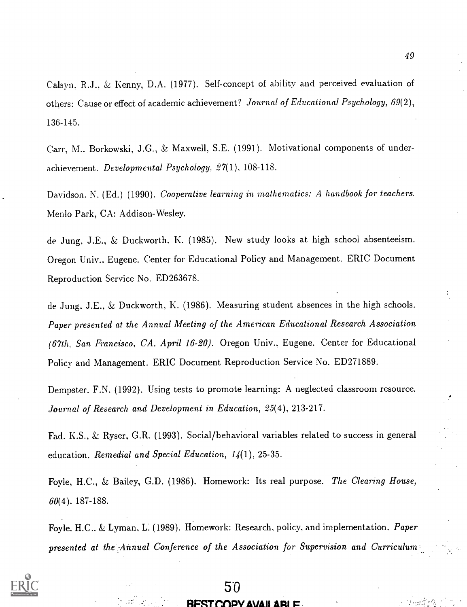Calsyn, R.J., & Kenny, D.A. (1977). Self-concept of ability and perceived evaluation of others: Cause or effect of academic achievement? Journal of Educational Psychology, 69(2), 136-145.

Carr, M.. Borkowski, J.G., & Maxwell, S.E. (1991). Motivational components of underachievement. Developmental Psychology. 27(1), 108-118.

Davidson, N. (Ed.) (1990). Cooperative learning in mathematics: A handbook for teachers. Menlo Park, CA: Addison-Wesley.

de Jung, J.E., & Duckworth. K. (1985). New study looks at high school absenteeism. Oregon Univ.. Eugene. Center for Educational Policy and Management. ERIC Document Reproduction Service No. ED263678.

de Jung. J.E., & Duckworth, K. (1986). Measuring student absences in the high schools. Paper presented at the Annual Meeting of the American Educational Research Association (67th, San Francisco, CA, April 16-20). Oregon Univ., Eugene. Center for Educational Policy and Management. ERIC Document Reproduction Service No. ED271889.

Dempster, F.N. (1992). Using tests to promote learning: A neglected classroom resource. Journal of Research and Development in Education, 25(4), 213-217.

Fad, K.S., & Ryser, G.R. (1993). Social/behavioral variables related to success in general education. Remedial and Special Education,  $14(1)$ , 25-35.

Foyle, H.C., & Bailey, G.D. (1986). Homework: Its real purpose. The Clearing House, 60(4). 187-188.

Foyle, H.C.. & Lyman, L: (1989). Homework: Research, policy, and implementation. Paper presented at the Annual Conference of the Association for Supervision and Curriculum

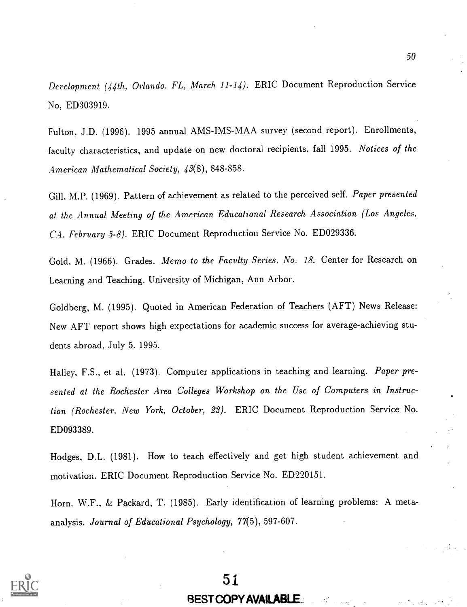Development (44th, Orlando. FL, March 11-14). ERIC Document Reproduction Service No. ED303919.

Fulton, J.D. (1996). 1995 annual AMS-IMS-MAA survey (second report). Enrollments, faculty characteristics, and update on new doctoral recipients, fall 1995. Notices of the American Mathematical Society, 43(8), 848-858.

Gill. M.P. (1969). Pattern of achievement as related to the perceived self. Paper presented at the Annual Meeting of the American Educational Research Association (Los Angeles, CA. February 5-8). ERIC Document Reproduction Service No. ED029336.

Gold. M. (1966). Grades. Memo to the Faculty Series. No. 18. Center for Research on Learning and Teaching, University of Michigan, Ann Arbor.

Goldberg, M. (1995). Quoted in American Federation of Teachers (AFT) News Release: New AFT report shows high expectations for academic success for average-achieving students abroad, July 5, 1995.

Halley, F.S., et al. (1973). Computer applications in teaching and learning. Paper presented at the Rochester Area Colleges Workshop on the Use of Computers in Instruction (Rochester, New York, October, 23). ERIC Document Reproduction Service No. ED093389.

Hodges, D.L. (1981). How to teach effectively and get high student achievement and motivation. ERIC Document Reproduction Service No. ED220151.

Horn. W.F., & Packard, T. (1985). Early identification of learning problems: A metaanalysis. Journal of Educational Psychology, 77(5), 597-607.



# BEST COPY AVAILABLE\_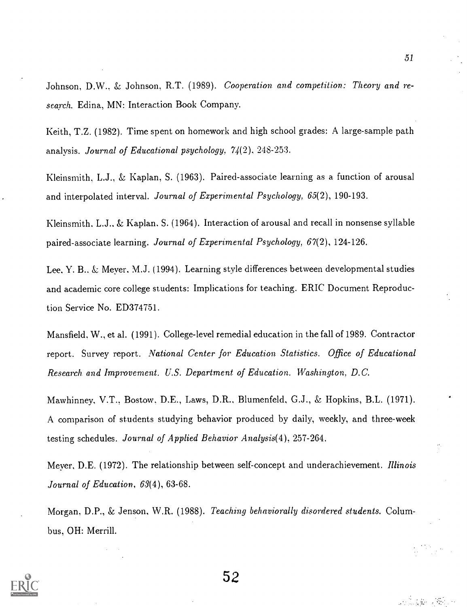Johnson, D.W.. & Johnson, R.T. (1989). Cooperation and competition: Theory and research. Edina, MN: Interaction Book Company.

Keith, T.Z. (1982). Time spent on homework and high school grades: A large-sample path analysis. Journal of Educational psychology, 74(2), 248-253.

Kleinsmith, L.J., & Kaplan, S. (1963). Paired-associate learning as a function of arousal and interpolated interval. Journal of Experimental Psychology, 65(2), 190-193.

Kleinsmith, L.J., & Kaplan. S. (1964). Interaction of arousal and recall in nonsense syllable paired-associate learning. Journal of Experimental Psychology, 67(2), 124-126.

Lee. Y. B.. & Meyer. M.J. (1994). Learning style differences between developmental studies and academic core college students: Implications for teaching. ERIC Document Reproduction Service No. ED374751.

Mansfield, W., et al. (1991). College-level remedial education in the fall of 1989. Contractor report. Survey report. National Center for Education Statistics. Office of Educational Research and Improvement. U.S. Department of Education. Washington, D.C.

Mawhinney, V.T., Bostow, D.E., Laws, D.R., Blumenfeld, G.J., & Hopkins, B.L. (1971). A comparison of students studying behavior produced by daily, weekly, and three-week testing schedules. Journal of Applied Behavior Analysis(4), 257-264.

Meyer, D.E. (1972). The relationship between self-concept and underachievement. *Illinois* Journal of Education, 63(4), 63-68.

Morgan, D.P., & Jenson, W.R. (1988). Teaching behaviorally disordered students. Columbus, OH: Merrill.



52

51

**学生 / 图6**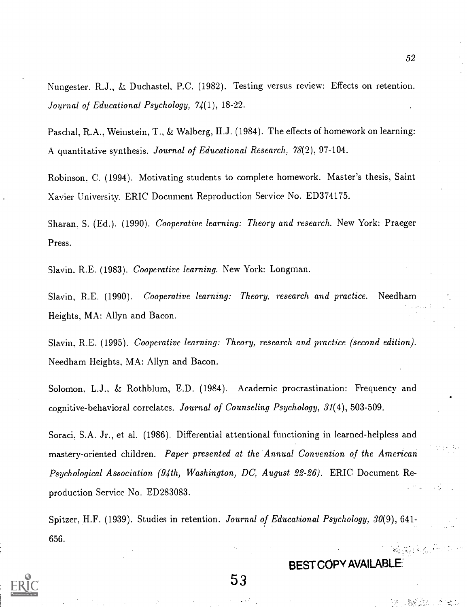Nungester, R.J., & Duchastel, P.C. (1982). Testing versus review: Effects on retention. Journal of Educational Psychology, 74(1), 18-22.

Paschal, R.A., Weinstein, T., & Walberg, H.J. (1984). The effects of homework on learning: A quantitative synthesis. Journal of Educational Research, 78(2), 97-104.

Robinson, C. (1994). Motivating students to complete homework. Master's thesis, Saint Xavier University. ERIC Document Reproduction Service No. ED374175.

Sharan, S. (Ed.). (1990). Cooperative learning: Theory and research. New York: Praeger Press.

Slavin. R.E. (1983). Cooperative learning. New York: Longman.

Slavin, R.E. (1990). Cooperative learning: Theory, research and practice. Needham Heights, MA: Allyn and Bacon.

Slavin, R.E. (1995). *Cooperative learning: Theory, research and practice (second edition).* Needham Heights, MA: Allyn and Bacon.

Solomon. L.J.. & Rothblum, E.D. (1984). Academic procrastination: Frequency and cognitive-behavioral correlates. Journal of Counseling Psychology, 31(4), 503-509.

Soraci, S.A. Jr., et al. (1986). Differential attentional functioning in learned-helpless and mastery-oriented children. Paper presented at the Annual Convention of the American Psychological Association (94th, Washington, DC, August 22-26). ERIC Document Reproduction Service No. ED283083.

Spitzer, H.F. (1939). Studies in retention. Journal of Educational Psychology, 30(9), 641-656.

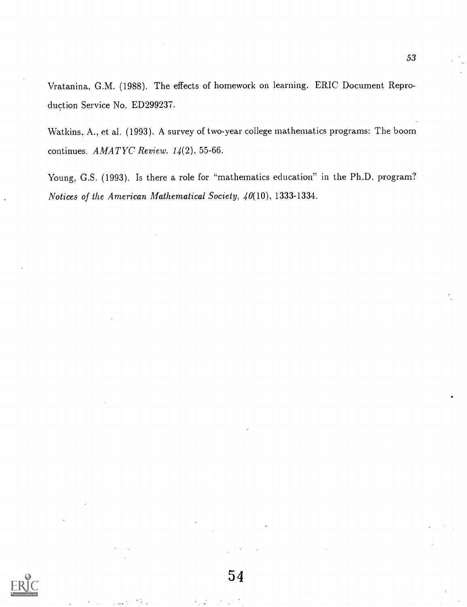Vratanina, G.M. (1988). The effects of homework on learning. ERIC Document Reproduction Service No. ED299237.

Watkins. A., et al. (1993). A survey of two-year college mathematics programs: The boom continues.  $AMATYC$  Review,  $14(2)$ , 55-66.

Young, G.S. (1993). Is there a role for "mathematics education" in the Ph.D. program? Notices of the American Mathematical Society, 40(10), 1333-1334.

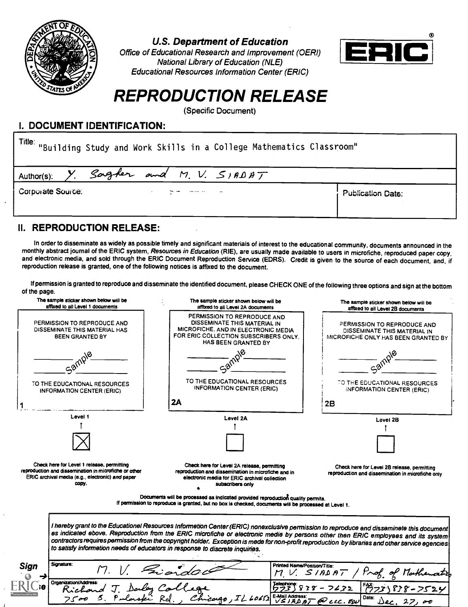

U.S. Department of Education

Office of Educational Research and Improvement (OERI) National Library of Education (NLE) Educational Resources Information Center (ERIC)



# REPRODUCTION RELEASE

(Specific Document)

# I. DOCUMENT IDENTIFICATION:

| Title: "Building Study and Work Skills in a College Mathematics Classroom" |                          |  |  |  |
|----------------------------------------------------------------------------|--------------------------|--|--|--|
| Y. Sagler and M.V. $S$ 1ADAT<br>Author(s):                                 |                          |  |  |  |
| Corporate Source:                                                          | <b>Publication Date:</b> |  |  |  |

# II. REPRODUCTION RELEASE:

In order to disseminate as widely as possible timely and significant materials of interest to the educational community, documents announced in the monthly abstract journal of the ERIC system, Resources in Education (RIE), and electronic media, and sold through the ERIC Document Reproduction Service (EDRS). Credit is given to the source of each document, and, if reproduction release is granted, one of the following notices is affixed to the document.

If permission is granted to reproduce and disseminate the identified document, please CHECK ONE of the following three options and sign at the bottom of the page.

| The sample sticker shown below will be<br>affixed to all Level 1 documents                                                                                       | The sample sticker shown below will be<br>affixed to all Level 2A documents                                                                                                                                                                                                                                                                                                                                                                                                                                       | The sample sticker shown below will be<br>affixed to all Level 2B documents                        |
|------------------------------------------------------------------------------------------------------------------------------------------------------------------|-------------------------------------------------------------------------------------------------------------------------------------------------------------------------------------------------------------------------------------------------------------------------------------------------------------------------------------------------------------------------------------------------------------------------------------------------------------------------------------------------------------------|----------------------------------------------------------------------------------------------------|
| PERMISSION TO REPRODUCE AND<br>DISSEMINATE THIS MATERIAL HAS<br><b>BEEN GRANTED BY</b>                                                                           | PERMISSION TO REPRODUCE AND<br>DISSEMINATE THIS MATERIAL IN<br>MICROFICHE, AND IN ELECTRONIC MEDIA<br>FOR ERIC COLLECTION SUBSCRIBERS ONLY.<br>HAS BEEN GRANTED BY                                                                                                                                                                                                                                                                                                                                                | PERMISSION TO REPRODUCE AND<br>DISSEMINATE THIS MATERIAL IN<br>MICROFICHE ONLY HAS BEEN GRANTED BY |
|                                                                                                                                                                  |                                                                                                                                                                                                                                                                                                                                                                                                                                                                                                                   |                                                                                                    |
| TO THE EDUCATIONAL RESOURCES<br><b>INFORMATION CENTER (ERIC)</b>                                                                                                 | TO THE EDUCATIONAL RESOURCES<br><b>INFORMATION CENTER (ERIC)</b>                                                                                                                                                                                                                                                                                                                                                                                                                                                  | TO THE EDUCATIONAL RESOURCES<br>INFORMATION CENTER (ERIC)                                          |
|                                                                                                                                                                  | 2A                                                                                                                                                                                                                                                                                                                                                                                                                                                                                                                | 2B                                                                                                 |
| Level 1                                                                                                                                                          | Level 2A                                                                                                                                                                                                                                                                                                                                                                                                                                                                                                          | Level 2B                                                                                           |
|                                                                                                                                                                  |                                                                                                                                                                                                                                                                                                                                                                                                                                                                                                                   |                                                                                                    |
| Check here for Level 1 release, permitting<br>reproduction and dissemination in microfiche or other<br>ERIC archival media (e.g., electronic) and paper<br>copy. | Check here for Level 2A release, permitting<br>reproduction and dissemination in microfiche and in<br>electronic media for ERIC archival collection<br>subscribers only                                                                                                                                                                                                                                                                                                                                           | Check here for Level 2B release, permitting<br>reproduction and dissemination in microfiche only   |
|                                                                                                                                                                  | Documents will be processed as indicated provided reproduction quality permits.<br>If permission to reproduce is granted, but no box is checked, documents will be processed at Level 1.                                                                                                                                                                                                                                                                                                                          |                                                                                                    |
|                                                                                                                                                                  | I hereby grant to the Educationel Resources Informetion Center (ERIC) nonexclusive permission to reproduce end disseminete this document<br>es indicated ebove. Reproduction from the ERIC microfiche or electronic medie by persons other then ERIC employees and its system<br>contractors requires permission from the copyright holder. Exception is mede for non-profit reproduction by libraries and other service egencies<br>to satisfy information needs of educators in response to discrete inquiries. |                                                                                                    |
| Signature:<br>Sign                                                                                                                                               | Printed Name/Position/Title:<br>Findo.                                                                                                                                                                                                                                                                                                                                                                                                                                                                            | $M V.$ SIADAT<br>Prof. of Mathematic                                                               |
| Organization/Address:                                                                                                                                            | richard J. Darley Callege<br>Richard J. Darley Callege<br>7500 S. Pulaski Rd., Chicago,                                                                                                                                                                                                                                                                                                                                                                                                                           | Jalephone:<br>ワフ3)838 - つく32<br>838-7524                                                           |
|                                                                                                                                                                  | $60652$ E-Mail Address: $T$ @ ccc. EDU                                                                                                                                                                                                                                                                                                                                                                                                                                                                            | Date: $Dec. 27.00$                                                                                 |